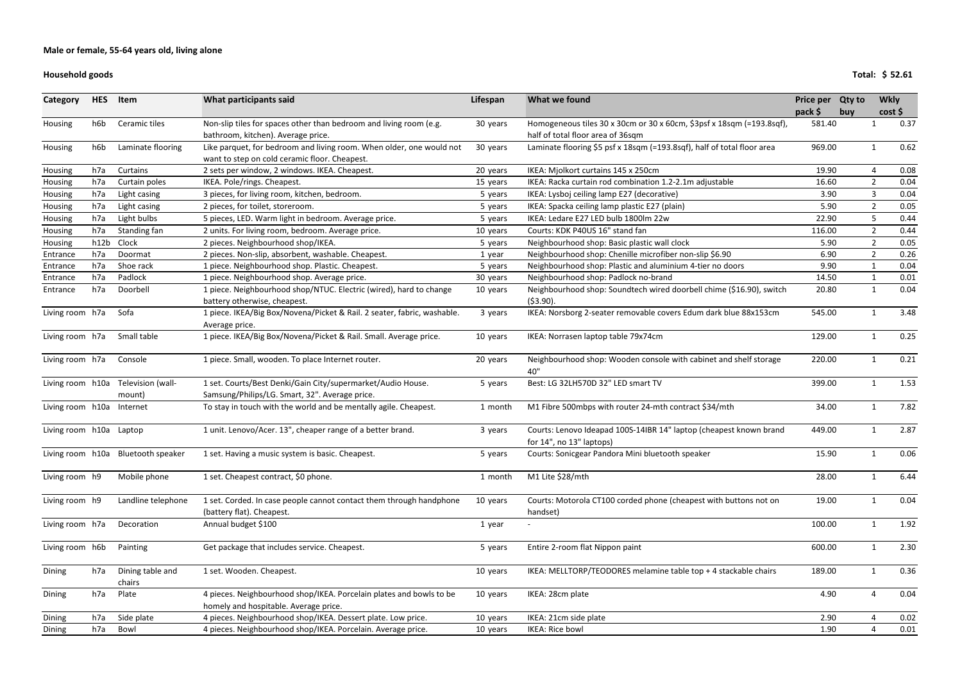### **Household goods**

| Category                | <b>HES</b> | Item                               | What participants said                                                                                                | Lifespan | What we found                                                                                              | Price per Qty to<br>pack \$ | buy | <b>Wkly</b>    | cost |
|-------------------------|------------|------------------------------------|-----------------------------------------------------------------------------------------------------------------------|----------|------------------------------------------------------------------------------------------------------------|-----------------------------|-----|----------------|------|
| Housing                 | h6b        | Ceramic tiles                      | Non-slip tiles for spaces other than bedroom and living room (e.g.<br>bathroom, kitchen). Average price.              | 30 years | Homogeneous tiles 30 x 30cm or 30 x 60cm, \$3psf x 18sqm (=193.8sqf),<br>half of total floor area of 36sqm | 581.40                      |     |                | 0.37 |
| Housing                 | h6b        | Laminate flooring                  | Like parquet, for bedroom and living room. When older, one would not<br>want to step on cold ceramic floor. Cheapest. | 30 years | Laminate flooring \$5 psf x 18sqm (=193.8sqf), half of total floor area                                    | 969.00                      |     |                | 0.62 |
| Housing                 | h7a        | Curtains                           | 2 sets per window, 2 windows. IKEA. Cheapest.                                                                         | 20 years | IKEA: Mjolkort curtains 145 x 250cm                                                                        | 19.90                       |     | Δ              | 0.08 |
| Housing                 | h7a        | Curtain poles                      | IKEA. Pole/rings. Cheapest.                                                                                           | 15 years | IKEA: Racka curtain rod combination 1.2-2.1m adjustable                                                    | 16.60                       |     | $\overline{2}$ | 0.04 |
| Housing                 | h7a        | Light casing                       | 3 pieces, for living room, kitchen, bedroom.                                                                          | 5 years  | IKEA: Lysboj ceiling lamp E27 (decorative)                                                                 | 3.90                        |     | 3              | 0.04 |
| Housing                 | h7a        | Light casing                       | 2 pieces, for toilet, storeroom.                                                                                      | 5 years  | IKEA: Spacka ceiling lamp plastic E27 (plain)                                                              | 5.90                        |     | $\overline{2}$ | 0.05 |
| Housing                 | h7a        | Light bulbs                        | 5 pieces, LED. Warm light in bedroom. Average price.                                                                  | 5 years  | IKEA: Ledare E27 LED bulb 1800lm 22w                                                                       | 22.90                       |     | 5              | 0.44 |
| Housing                 | h7a        | Standing fan                       | 2 units. For living room, bedroom. Average price.                                                                     | 10 years | Courts: KDK P40US 16" stand fan                                                                            | 116.00                      |     | $\overline{2}$ | 0.44 |
| <b>Housing</b>          | h12b       | Clock                              | 2 pieces. Neighbourhood shop/IKEA.                                                                                    | 5 years  | Neighbourhood shop: Basic plastic wall clock                                                               | 5.90                        |     | $\overline{2}$ | 0.05 |
| Entrance                | h7a        | Doormat                            | 2 pieces. Non-slip, absorbent, washable. Cheapest.                                                                    | 1 year   | Neighbourhood shop: Chenille microfiber non-slip \$6.90                                                    | 6.90                        |     | $\overline{2}$ | 0.26 |
| Entrance                | h7a        | Shoe rack                          | 1 piece. Neighbourhood shop. Plastic. Cheapest.                                                                       | 5 years  | Neighbourhood shop: Plastic and aluminium 4-tier no doors                                                  | 9.90                        |     |                | 0.04 |
| Entrance                | h7a        | Padlock                            | 1 piece. Neighbourhood shop. Average price.                                                                           | 30 years | Neighbourhood shop: Padlock no-brand                                                                       | 14.50                       |     |                | 0.01 |
| Entrance                | h7a        | Doorbell                           | 1 piece. Neighbourhood shop/NTUC. Electric (wired), hard to change<br>battery otherwise, cheapest.                    | 10 years | Neighbourhood shop: Soundtech wired doorbell chime (\$16.90), switch<br>( \$3.90).                         | 20.80                       |     | 1              | 0.04 |
| Living room h7a         |            | Sofa                               | 1 piece. IKEA/Big Box/Novena/Picket & Rail. 2 seater, fabric, washable.<br>Average price.                             | 3 years  | IKEA: Norsborg 2-seater removable covers Edum dark blue 88x153cm                                           | 545.00                      |     |                | 3.48 |
| Living room h7a         |            | Small table                        | 1 piece. IKEA/Big Box/Novena/Picket & Rail. Small. Average price.                                                     | 10 years | IKEA: Norrasen laptop table 79x74cm                                                                        | 129.00                      |     |                | 0.25 |
| Living room h7a         |            | Console                            | 1 piece. Small, wooden. To place Internet router.                                                                     | 20 years | Neighbourhood shop: Wooden console with cabinet and shelf storage<br>40"                                   | 220.00                      |     |                | 0.21 |
| Living room h10a        |            | Television (wall-                  | 1 set. Courts/Best Denki/Gain City/supermarket/Audio House.<br>Samsung/Philips/LG. Smart, 32". Average price.         | 5 years  | Best: LG 32LH570D 32" LED smart TV                                                                         | 399.00                      |     |                | 1.53 |
| Living room h10a        |            | mount)<br>Internet                 | To stay in touch with the world and be mentally agile. Cheapest.                                                      | 1 month  | M1 Fibre 500mbps with router 24-mth contract \$34/mth                                                      | 34.00                       |     |                | 7.82 |
| Living room h10a Laptop |            |                                    | 1 unit. Lenovo/Acer. 13", cheaper range of a better brand.                                                            | 3 years  | Courts: Lenovo Ideapad 100S-14IBR 14" laptop (cheapest known brand<br>for 14", no 13" laptops)             | 449.00                      |     |                | 2.87 |
|                         |            | Living room h10a Bluetooth speaker | 1 set. Having a music system is basic. Cheapest.                                                                      | 5 years  | Courts: Sonicgear Pandora Mini bluetooth speaker                                                           | 15.90                       |     |                | 0.06 |
| Living room h9          |            | Mobile phone                       | 1 set. Cheapest contract, \$0 phone.                                                                                  | 1 month  | M1 Lite \$28/mth                                                                                           | 28.00                       |     |                | 6.44 |
| Living room h9          |            | Landline telephone                 | 1 set. Corded. In case people cannot contact them through handphone<br>(battery flat). Cheapest.                      | 10 years | Courts: Motorola CT100 corded phone (cheapest with buttons not on<br>handset)                              | 19.00                       |     |                | 0.04 |
| Living room h7a         |            | Decoration                         | Annual budget \$100                                                                                                   | 1 year   |                                                                                                            | 100.00                      |     |                | 1.92 |
| Living room h6b         |            | Painting                           | Get package that includes service. Cheapest.                                                                          | 5 years  | Entire 2-room flat Nippon paint                                                                            | 600.00                      |     |                | 2.30 |
| Dining                  | h7a        | Dining table and<br>chairs         | 1 set. Wooden. Cheapest.                                                                                              | 10 years | IKEA: MELLTORP/TEODORES melamine table top + 4 stackable chairs                                            | 189.00                      |     | 1              | 0.36 |
| Dining                  | h7a        | Plate                              | 4 pieces. Neighbourhood shop/IKEA. Porcelain plates and bowls to be<br>homely and hospitable. Average price.          | 10 years | IKEA: 28cm plate                                                                                           | 4.90                        |     |                | 0.04 |
| Dining                  | h7a        | Side plate                         | 4 pieces. Neighbourhood shop/IKEA. Dessert plate. Low price.                                                          | 10 years | IKEA: 21cm side plate                                                                                      | 2.90                        |     |                | 0.02 |
| Dining                  | h7a        | Bowl                               | 4 pieces. Neighbourhood shop/IKEA. Porcelain. Average price.                                                          | 10 years | IKEA: Rice bowl                                                                                            | 1.90                        |     | 4              | 0.01 |

**Total: \$ 52.61**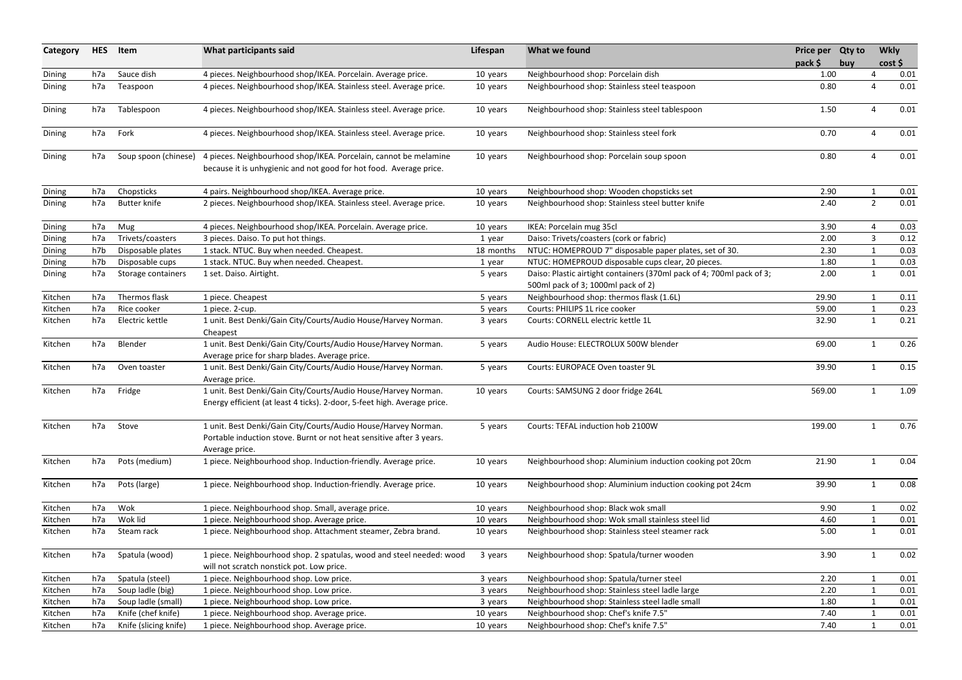| Category | <b>HES</b> | Item                  | What participants said                                                                                                                                   | Lifespan  | What we found                                                                                               | Price per Qty to<br>pack \$ | buy |                | <b>Wkly</b><br>cost |
|----------|------------|-----------------------|----------------------------------------------------------------------------------------------------------------------------------------------------------|-----------|-------------------------------------------------------------------------------------------------------------|-----------------------------|-----|----------------|---------------------|
| Dining   | h7a        | Sauce dish            | 4 pieces. Neighbourhood shop/IKEA. Porcelain. Average price.                                                                                             | 10 years  | Neighbourhood shop: Porcelain dish                                                                          | 1.00                        |     |                | 0.01                |
| Dining   | h7a        | Teaspoon              | 4 pieces. Neighbourhood shop/IKEA. Stainless steel. Average price.                                                                                       | 10 years  | Neighbourhood shop: Stainless steel teaspoon                                                                | 0.80                        |     | 4              | 0.01                |
| Dining   | h7a        | Tablespoon            | 4 pieces. Neighbourhood shop/IKEA. Stainless steel. Average price.                                                                                       | 10 years  | Neighbourhood shop: Stainless steel tablespoon                                                              | 1.50                        |     | 4              | 0.01                |
| Dining   | h7a        | Fork                  | 4 pieces. Neighbourhood shop/IKEA. Stainless steel. Average price.                                                                                       | 10 years  | Neighbourhood shop: Stainless steel fork                                                                    | 0.70                        |     | 4              | 0.01                |
| Dining   | h7a        | Soup spoon (chinese)  | 4 pieces. Neighbourhood shop/IKEA. Porcelain, cannot be melamine<br>because it is unhygienic and not good for hot food. Average price.                   | 10 years  | Neighbourhood shop: Porcelain soup spoon                                                                    | 0.80                        |     | 4              | 0.01                |
| Dining   | h7a        | Chopsticks            | 4 pairs. Neighbourhood shop/IKEA. Average price.                                                                                                         | 10 years  | Neighbourhood shop: Wooden chopsticks set                                                                   | 2.90                        |     | $\mathbf{1}$   | 0.01                |
| Dining   | h7a        | <b>Butter knife</b>   | 2 pieces. Neighbourhood shop/IKEA. Stainless steel. Average price.                                                                                       | 10 years  | Neighbourhood shop: Stainless steel butter knife                                                            | 2.40                        |     | $\overline{2}$ | 0.01                |
| Dining   | h7a        | Mug                   | 4 pieces. Neighbourhood shop/IKEA. Porcelain. Average price.                                                                                             | 10 years  | IKEA: Porcelain mug 35cl                                                                                    | 3.90                        |     | 4              | 0.03                |
| Dining   | h7a        | Trivets/coasters      | 3 pieces. Daiso. To put hot things.                                                                                                                      | 1 year    | Daiso: Trivets/coasters (cork or fabric)                                                                    | 2.00                        |     | 3              | 0.12                |
| Dining   | h7b        | Disposable plates     | 1 stack. NTUC. Buy when needed. Cheapest.                                                                                                                | 18 months | NTUC: HOMEPROUD 7" disposable paper plates, set of 30.                                                      | 2.30                        |     | 1              | 0.03                |
| Dining   | h7b        | Disposable cups       | 1 stack. NTUC. Buy when needed. Cheapest.                                                                                                                | 1 year    | NTUC: HOMEPROUD disposable cups clear, 20 pieces.                                                           | 1.80                        |     | $\mathbf{1}$   | 0.03                |
| Dining   | h7a        | Storage containers    | 1 set. Daiso. Airtight.                                                                                                                                  | 5 years   | Daiso: Plastic airtight containers (370ml pack of 4; 700ml pack of 3;<br>500ml pack of 3; 1000ml pack of 2) | 2.00                        |     | $\mathbf{1}$   | 0.01                |
| Kitchen  | h7a        | Thermos flask         | 1 piece. Cheapest                                                                                                                                        | 5 years   | Neighbourhood shop: thermos flask (1.6L)                                                                    | 29.90                       |     | $\mathbf 1$    | 0.11                |
| Kitchen  | h7a        | Rice cooker           | 1 piece. 2-cup.                                                                                                                                          | 5 years   | Courts: PHILIPS 1L rice cooker                                                                              | 59.00                       |     | 1              | 0.23                |
| Kitchen  | h7a        | Electric kettle       | 1 unit. Best Denki/Gain City/Courts/Audio House/Harvey Norman.<br>Cheapest                                                                               | 3 years   | Courts: CORNELL electric kettle 1L                                                                          | 32.90                       |     | $\mathbf{1}$   | 0.21                |
| Kitchen  | h7a        | Blender               | 1 unit. Best Denki/Gain City/Courts/Audio House/Harvey Norman.<br>Average price for sharp blades. Average price.                                         | 5 years   | Audio House: ELECTROLUX 500W blender                                                                        | 69.00                       |     | $\mathbf{1}$   | 0.26                |
| Kitchen  | h7a        | Oven toaster          | 1 unit. Best Denki/Gain City/Courts/Audio House/Harvey Norman.<br>Average price.                                                                         | 5 years   | Courts: EUROPACE Oven toaster 9L                                                                            | 39.90                       |     | 1              | 0.15                |
| Kitchen  | h7a        | Fridge                | 1 unit. Best Denki/Gain City/Courts/Audio House/Harvey Norman.<br>Energy efficient (at least 4 ticks). 2-door, 5-feet high. Average price.               | 10 years  | Courts: SAMSUNG 2 door fridge 264L                                                                          | 569.00                      |     | $\mathbf 1$    | 1.09                |
| Kitchen  | h7a        | Stove                 | 1 unit. Best Denki/Gain City/Courts/Audio House/Harvey Norman.<br>Portable induction stove. Burnt or not heat sensitive after 3 years.<br>Average price. | 5 years   | Courts: TEFAL induction hob 2100W                                                                           | 199.00                      |     | $\mathbf{1}$   | 0.76                |
| Kitchen  | h7a        | Pots (medium)         | 1 piece. Neighbourhood shop. Induction-friendly. Average price.                                                                                          | 10 years  | Neighbourhood shop: Aluminium induction cooking pot 20cm                                                    | 21.90                       |     | 1              | 0.04                |
| Kitchen  | h7a        | Pots (large)          | 1 piece. Neighbourhood shop. Induction-friendly. Average price.                                                                                          | 10 years  | Neighbourhood shop: Aluminium induction cooking pot 24cm                                                    | 39.90                       |     | $\mathbf{1}$   | 0.08                |
| Kitchen  | h7a        | Wok                   | 1 piece. Neighbourhood shop. Small, average price.                                                                                                       | 10 years  | Neighbourhood shop: Black wok small                                                                         | 9.90                        |     |                | 0.02                |
| Kitchen  | h7a        | Wok lid               | 1 piece. Neighbourhood shop. Average price.                                                                                                              | 10 years  | Neighbourhood shop: Wok small stainless steel lid                                                           | 4.60                        |     |                | 0.01                |
| Kitchen  | h7a        | Steam rack            | 1 piece. Neighbourhood shop. Attachment steamer, Zebra brand.                                                                                            | 10 years  | Neighbourhood shop: Stainless steel steamer rack                                                            | 5.00                        |     | $\mathbf{1}$   | 0.01                |
| Kitchen  | h7a        | Spatula (wood)        | 1 piece. Neighbourhood shop. 2 spatulas, wood and steel needed: wood<br>will not scratch nonstick pot. Low price.                                        | 3 years   | Neighbourhood shop: Spatula/turner wooden                                                                   | 3.90                        |     | 1              | 0.02                |
| Kitchen  | h7a        | Spatula (steel)       | 1 piece. Neighbourhood shop. Low price.                                                                                                                  | 3 years   | Neighbourhood shop: Spatula/turner steel                                                                    | 2.20                        |     | $\mathbf{1}$   | 0.01                |
| Kitchen  | h7a        | Soup ladle (big)      | 1 piece. Neighbourhood shop. Low price.                                                                                                                  | 3 years   | Neighbourhood shop: Stainless steel ladle large                                                             | 2.20                        |     | 1              | 0.01                |
| Kitchen  | h7a        | Soup ladle (small)    | 1 piece. Neighbourhood shop. Low price.                                                                                                                  | 3 years   | Neighbourhood shop: Stainless steel ladle small                                                             | 1.80                        |     |                | 0.01                |
| Kitchen  | h7a        | Knife (chef knife)    | 1 piece. Neighbourhood shop. Average price.                                                                                                              | 10 years  | Neighbourhood shop: Chef's knife 7.5"                                                                       | 7.40                        |     |                | 0.01                |
| Kitchen  | h7a        | Knife (slicing knife) | 1 piece. Neighbourhood shop. Average price.                                                                                                              | 10 years  | Neighbourhood shop: Chef's knife 7.5"                                                                       | 7.40                        |     | 1              | 0.01                |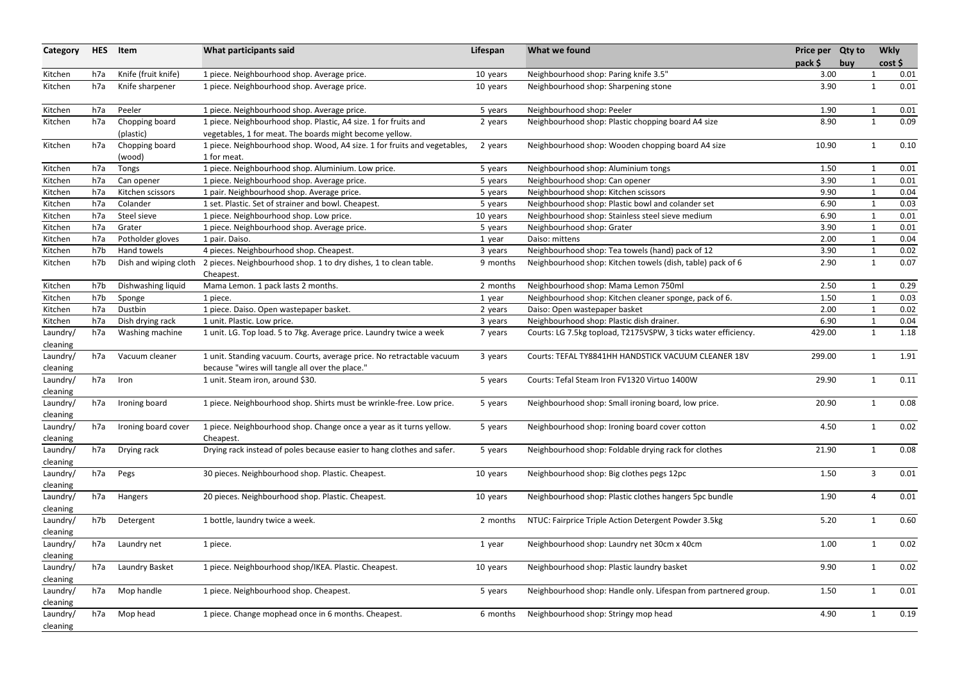| Category             | <b>HES</b> | Item                        | What participants said                                                                                                     | Lifespan | What we found                                                   | Price per Qty to<br>pack \$ | buy |              | <b>Wkly</b><br>cost |
|----------------------|------------|-----------------------------|----------------------------------------------------------------------------------------------------------------------------|----------|-----------------------------------------------------------------|-----------------------------|-----|--------------|---------------------|
| Kitchen              | h7a        | Knife (fruit knife)         | 1 piece. Neighbourhood shop. Average price.                                                                                | 10 years | Neighbourhood shop: Paring knife 3.5"                           | 3.00                        |     |              | 0.01                |
| Kitchen              | h7a        | Knife sharpener             | 1 piece. Neighbourhood shop. Average price.                                                                                | 10 years | Neighbourhood shop: Sharpening stone                            | 3.90                        |     | $\mathbf 1$  | 0.01                |
| Kitchen              | h7a        | Peeler                      | 1 piece. Neighbourhood shop. Average price.                                                                                | 5 years  | Neighbourhood shop: Peeler                                      | 1.90                        |     |              | 0.01                |
| Kitchen              | h7a        | Chopping board<br>(plastic) | 1 piece. Neighbourhood shop. Plastic, A4 size. 1 for fruits and<br>vegetables, 1 for meat. The boards might become yellow. | 2 years  | Neighbourhood shop: Plastic chopping board A4 size              | 8.90                        |     | 1            | 0.09                |
| Kitchen              | h7a        | Chopping board<br>(wood)    | 1 piece. Neighbourhood shop. Wood, A4 size. 1 for fruits and vegetables,<br>1 for meat.                                    | 2 years  | Neighbourhood shop: Wooden chopping board A4 size               | 10.90                       |     | $\mathbf 1$  | 0.10                |
| Kitchen              | h7a        | Tongs                       | 1 piece. Neighbourhood shop. Aluminium. Low price.                                                                         | 5 years  | Neighbourhood shop: Aluminium tongs                             | 1.50                        |     |              | 0.01                |
| Kitchen              | h7a        | Can opener                  | 1 piece. Neighbourhood shop. Average price.                                                                                | 5 years  | Neighbourhood shop: Can opener                                  | 3.90                        |     | $\mathbf{1}$ | 0.01                |
| Kitchen              | h7a        | Kitchen scissors            | 1 pair. Neighbourhood shop. Average price.                                                                                 | 5 years  | Neighbourhood shop: Kitchen scissors                            | 9.90                        |     |              | 0.04                |
| Kitchen              | h7a        | Colander                    | 1 set. Plastic. Set of strainer and bowl. Cheapest.                                                                        | 5 years  | Neighbourhood shop: Plastic bowl and colander set               | 6.90                        |     |              | 0.03                |
| Kitchen              | h7a        | Steel sieve                 | 1 piece. Neighbourhood shop. Low price.                                                                                    | 10 years | Neighbourhood shop: Stainless steel sieve medium                | 6.90                        |     |              | 0.01                |
| Kitchen              | h7a        | Grater                      | 1 piece. Neighbourhood shop. Average price.                                                                                | 5 years  | Neighbourhood shop: Grater                                      | 3.90                        |     |              | 0.01                |
| Kitchen              | h7a        | Potholder gloves            | 1 pair. Daiso.                                                                                                             | 1 year   | Daiso: mittens                                                  | 2.00                        |     |              | 0.04                |
| Kitchen              | h7b        | Hand towels                 | 4 pieces. Neighbourhood shop. Cheapest.                                                                                    | 3 years  | Neighbourhood shop: Tea towels (hand) pack of 12                | 3.90                        |     |              | 0.02                |
| Kitchen              | h7b        | Dish and wiping cloth       | 2 pieces. Neighbourhood shop. 1 to dry dishes, 1 to clean table.<br>Cheapest.                                              | 9 months | Neighbourhood shop: Kitchen towels (dish, table) pack of 6      | 2.90                        |     | $\mathbf{1}$ | 0.07                |
| Kitchen              | h7b        | Dishwashing liquid          | Mama Lemon. 1 pack lasts 2 months.                                                                                         | 2 months | Neighbourhood shop: Mama Lemon 750ml                            | 2.50                        |     |              | 0.29                |
| Kitchen              | h7b        | Sponge                      | 1 piece.                                                                                                                   | 1 year   | Neighbourhood shop: Kitchen cleaner sponge, pack of 6.          | 1.50                        |     |              | 0.03                |
| Kitchen              | h7a        | Dustbin                     | 1 piece. Daiso. Open wastepaper basket.                                                                                    | 2 years  | Daiso: Open wastepaper basket                                   | 2.00                        |     |              | 0.02                |
| Kitchen              | h7a        | Dish drying rack            | 1 unit. Plastic. Low price.                                                                                                | 3 years  | Neighbourhood shop: Plastic dish drainer.                       | 6.90                        |     |              | 0.04                |
| Laundry/<br>cleaning | h7a        | Washing machine             | 1 unit. LG. Top load. 5 to 7kg. Average price. Laundry twice a week                                                        | 7 years  | Courts: LG 7.5kg topload, T2175VSPW, 3 ticks water efficiency.  | 429.00                      |     | $\mathbf{1}$ | 1.18                |
| Laundry/<br>cleaning | h7a        | Vacuum cleaner              | 1 unit. Standing vacuum. Courts, average price. No retractable vacuum<br>because "wires will tangle all over the place."   | 3 years  | Courts: TEFAL TY8841HH HANDSTICK VACUUM CLEANER 18V             | 299.00                      |     | -1           | 1.91                |
| Laundry/<br>cleaning | h7a        | Iron                        | 1 unit. Steam iron, around \$30.                                                                                           | 5 years  | Courts: Tefal Steam Iron FV1320 Virtuo 1400W                    | 29.90                       |     | 1            | 0.11                |
| Laundry/<br>cleaning |            | h7a Ironing board           | 1 piece. Neighbourhood shop. Shirts must be wrinkle-free. Low price.                                                       | 5 years  | Neighbourhood shop: Small ironing board, low price.             | 20.90                       |     |              | 0.08                |
| Laundry/<br>cleaning | h7a        | Ironing board cover         | 1 piece. Neighbourhood shop. Change once a year as it turns yellow.<br>Cheapest.                                           | 5 years  | Neighbourhood shop: Ironing board cover cotton                  | 4.50                        |     | -1           | 0.02                |
| Laundry/<br>cleaning | h7a        | Drying rack                 | Drying rack instead of poles because easier to hang clothes and safer.                                                     | 5 years  | Neighbourhood shop: Foldable drying rack for clothes            | 21.90                       |     | $\mathbf{1}$ | 0.08                |
| Laundry/<br>cleaning | h7a        | Pegs                        | 30 pieces. Neighbourhood shop. Plastic. Cheapest.                                                                          | 10 years | Neighbourhood shop: Big clothes pegs 12pc                       | 1.50                        |     | 3            | 0.01                |
| Laundry/<br>cleaning | h7a        | Hangers                     | 20 pieces. Neighbourhood shop. Plastic. Cheapest.                                                                          | 10 years | Neighbourhood shop: Plastic clothes hangers 5pc bundle          | 1.90                        |     | 4            | 0.01                |
| Laundry/<br>cleaning | h7b        | Detergent                   | 1 bottle, laundry twice a week.                                                                                            | 2 months | NTUC: Fairprice Triple Action Detergent Powder 3.5kg            | 5.20                        |     | $\mathbf{1}$ | 0.60                |
| Laundry/<br>cleaning | h7a        | Laundry net                 | 1 piece.                                                                                                                   | 1 year   | Neighbourhood shop: Laundry net 30cm x 40cm                     | 1.00                        |     | $\mathbf 1$  | 0.02                |
| Laundry/<br>cleaning | h7a        | Laundry Basket              | 1 piece. Neighbourhood shop/IKEA. Plastic. Cheapest.                                                                       | 10 years | Neighbourhood shop: Plastic laundry basket                      | 9.90                        |     |              | 0.02                |
| Laundry/<br>cleaning | h7a        | Mop handle                  | 1 piece. Neighbourhood shop. Cheapest.                                                                                     | 5 years  | Neighbourhood shop: Handle only. Lifespan from partnered group. | 1.50                        |     | -1           | 0.01                |
| Laundry/<br>cleaning | h7a        | Mop head                    | 1 piece. Change mophead once in 6 months. Cheapest.                                                                        | 6 months | Neighbourhood shop: Stringy mop head                            | 4.90                        |     |              | 0.19                |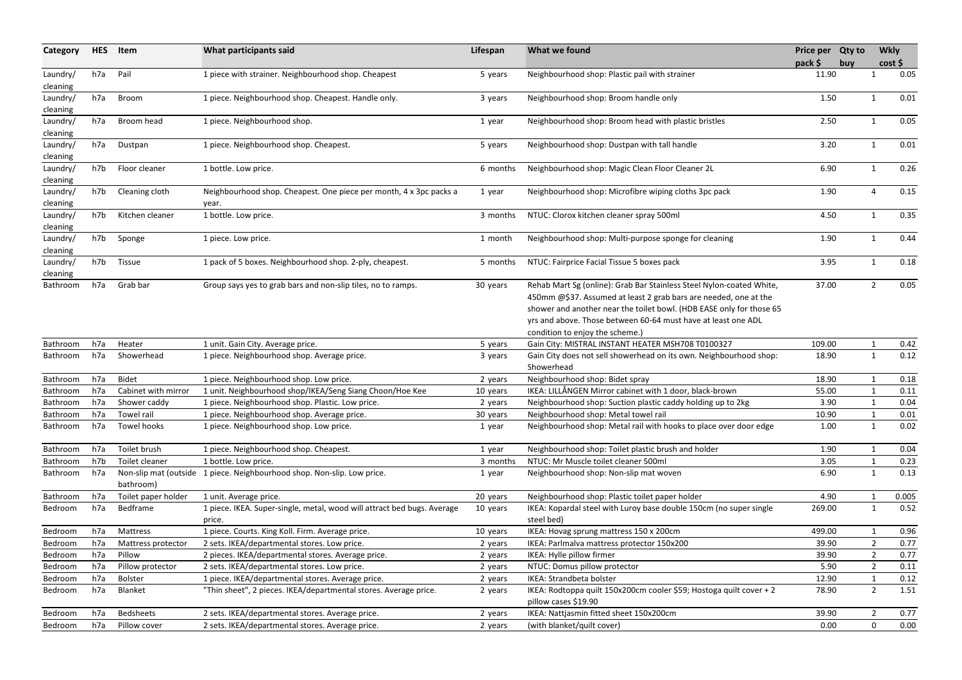| Category             | <b>HES</b> | Item                | What participants said                                                            | Lifespan | What we found                                                                                                                                                                                                                                                                                                        | Price per Qty to<br>$pack$ \$ | buy |                | <b>Wkly</b><br>cost |
|----------------------|------------|---------------------|-----------------------------------------------------------------------------------|----------|----------------------------------------------------------------------------------------------------------------------------------------------------------------------------------------------------------------------------------------------------------------------------------------------------------------------|-------------------------------|-----|----------------|---------------------|
| Laundry/<br>cleaning | h7a        | Pail                | 1 piece with strainer. Neighbourhood shop. Cheapest                               | 5 years  | Neighbourhood shop: Plastic pail with strainer                                                                                                                                                                                                                                                                       | 11.90                         |     |                | 0.05                |
| Laundry/<br>cleaning | h7a        | Broom               | 1 piece. Neighbourhood shop. Cheapest. Handle only.                               | 3 years  | Neighbourhood shop: Broom handle only                                                                                                                                                                                                                                                                                | 1.50                          |     | $\mathbf 1$    | 0.01                |
| Laundry/<br>cleaning | h7a        | Broom head          | 1 piece. Neighbourhood shop.                                                      | 1 year   | Neighbourhood shop: Broom head with plastic bristles                                                                                                                                                                                                                                                                 | 2.50                          |     | $\mathbf 1$    | 0.05                |
| Laundry/<br>cleaning | h7a        | Dustpan             | 1 piece. Neighbourhood shop. Cheapest.                                            | 5 years  | Neighbourhood shop: Dustpan with tall handle                                                                                                                                                                                                                                                                         | 3.20                          |     | $\mathbf 1$    | 0.01                |
| Laundry/<br>cleaning | h7b        | Floor cleaner       | 1 bottle. Low price.                                                              | 6 months | Neighbourhood shop: Magic Clean Floor Cleaner 2L                                                                                                                                                                                                                                                                     | 6.90                          |     | $\mathbf 1$    | 0.26                |
| Laundry/<br>cleaning | h7b        | Cleaning cloth      | Neighbourhood shop. Cheapest. One piece per month, 4 x 3pc packs a<br>year.       | 1 year   | Neighbourhood shop: Microfibre wiping cloths 3pc pack                                                                                                                                                                                                                                                                | 1.90                          |     | 4              | 0.15                |
| Laundry/<br>cleaning | h7b        | Kitchen cleaner     | 1 bottle. Low price.                                                              | 3 months | NTUC: Clorox kitchen cleaner spray 500ml                                                                                                                                                                                                                                                                             | 4.50                          |     | -1             | 0.35                |
| Laundry/<br>cleaning | h7b        | Sponge              | 1 piece. Low price.                                                               | 1 month  | Neighbourhood shop: Multi-purpose sponge for cleaning                                                                                                                                                                                                                                                                | 1.90                          |     |                | 0.44                |
| Laundry/<br>cleaning | h7b        | Tissue              | 1 pack of 5 boxes. Neighbourhood shop. 2-ply, cheapest.                           | 5 months | NTUC: Fairprice Facial Tissue 5 boxes pack                                                                                                                                                                                                                                                                           | 3.95                          |     | -1             | 0.18                |
| Bathroom             | h7a        | Grab bar            | Group says yes to grab bars and non-slip tiles, no to ramps.                      | 30 years | Rehab Mart Sg (online): Grab Bar Stainless Steel Nylon-coated White,<br>450mm @\$37. Assumed at least 2 grab bars are needed, one at the<br>shower and another near the toilet bowl. (HDB EASE only for those 65<br>yrs and above. Those between 60-64 must have at least one ADL<br>condition to enjoy the scheme.) | 37.00                         |     | $\overline{2}$ | 0.05                |
| Bathroom             | h7a        | Heater              | 1 unit. Gain City. Average price.                                                 | 5 years  | Gain City: MISTRAL INSTANT HEATER MSH708 T0100327                                                                                                                                                                                                                                                                    | 109.00                        |     |                | 0.42                |
| Bathroom             | h7a        | Showerhead          | 1 piece. Neighbourhood shop. Average price.                                       | 3 years  | Gain City does not sell showerhead on its own. Neighbourhood shop:<br>Showerhead                                                                                                                                                                                                                                     | 18.90                         |     | $\overline{1}$ | 0.12                |
| Bathroom             | h7a        | <b>Bidet</b>        | 1 piece. Neighbourhood shop. Low price.                                           | 2 years  | Neighbourhood shop: Bidet spray                                                                                                                                                                                                                                                                                      | 18.90                         |     | $\mathbf 1$    | 0.18                |
| Bathroom             | h7a        | Cabinet with mirror | 1 unit. Neighbourhood shop/IKEA/Seng Siang Choon/Hoe Kee                          | 10 years | IKEA: LILLÅNGEN Mirror cabinet with 1 door, black-brown                                                                                                                                                                                                                                                              | 55.00                         |     |                | 0.11                |
| Bathroom h7a         |            | Shower caddy        | 1 piece. Neighbourhood shop. Plastic. Low price.                                  | 2 years  | Neighbourhood shop: Suction plastic caddy holding up to 2kg                                                                                                                                                                                                                                                          | 3.90                          |     | $\mathbf{1}$   | 0.04                |
| <b>Bathroom</b>      | h7a        | Towel rail          | 1 piece. Neighbourhood shop. Average price.                                       | 30 years | Neighbourhood shop: Metal towel rail                                                                                                                                                                                                                                                                                 | 10.90                         |     |                | 0.01                |
| Bathroom             | h7a        | Towel hooks         | 1 piece. Neighbourhood shop. Low price.                                           | 1 year   | Neighbourhood shop: Metal rail with hooks to place over door edge                                                                                                                                                                                                                                                    | 1.00                          |     | $\mathbf{1}$   | 0.02                |
| Bathroom             | h7a        | Toilet brush        | 1 piece. Neighbourhood shop. Cheapest.                                            | 1 year   | Neighbourhood shop: Toilet plastic brush and holder                                                                                                                                                                                                                                                                  | 1.90                          |     |                | 0.04                |
| Bathroom             | h7b        | Toilet cleaner      | 1 bottle. Low price.                                                              | 3 months | NTUC: Mr Muscle toilet cleaner 500ml                                                                                                                                                                                                                                                                                 | 3.05                          |     |                | 0.23                |
| Bathroom             | h7a        | bathroom)           | Non-slip mat (outside 1 piece. Neighbourhood shop. Non-slip. Low price.           | 1 year   | Neighbourhood shop: Non-slip mat woven                                                                                                                                                                                                                                                                               | 6.90                          |     | 1              | 0.13                |
| Bathroom             | h7a        | Toilet paper holder | 1 unit. Average price.                                                            | 20 years | Neighbourhood shop: Plastic toilet paper holder                                                                                                                                                                                                                                                                      | 4.90                          |     |                | 0.005               |
| Bedroom              | h7a        | Bedframe            | 1 piece. IKEA. Super-single, metal, wood will attract bed bugs. Average<br>price. | 10 years | IKEA: Kopardal steel with Luroy base double 150cm (no super single<br>steel bed)                                                                                                                                                                                                                                     | 269.00                        |     | $\mathbf{1}$   | 0.52                |
| Bedroom              | h7a        | Mattress            | 1 piece. Courts. King Koll. Firm. Average price.                                  | 10 years | IKEA: Hovag sprung mattress 150 x 200cm                                                                                                                                                                                                                                                                              | 499.00                        |     |                | 0.96                |
| Bedroom              | h7a        | Mattress protector  | 2 sets. IKEA/departmental stores. Low price.                                      | 2 years  | IKEA: Parlmalva mattress protector 150x200                                                                                                                                                                                                                                                                           | 39.90                         |     | 2              | 0.77                |
| Bedroom              | h7a        | Pillow              | 2 pieces. IKEA/departmental stores. Average price.                                | 2 years  | IKEA: Hylle pillow firmer                                                                                                                                                                                                                                                                                            | 39.90                         |     | 2              | 0.77                |
| Bedroom              | h7a        | Pillow protector    | 2 sets. IKEA/departmental stores. Low price.                                      | 2 years  | NTUC: Domus pillow protector                                                                                                                                                                                                                                                                                         | 5.90                          |     | $\overline{2}$ | 0.11                |
| Bedroom              | h7a        | Bolster             | 1 piece. IKEA/departmental stores. Average price.                                 | 2 years  | IKEA: Strandbeta bolster                                                                                                                                                                                                                                                                                             | 12.90                         |     |                | 0.12                |
| Bedroom              | h7a        | Blanket             | "Thin sheet", 2 pieces. IKEA/departmental stores. Average price.                  | 2 years  | IKEA: Rodtoppa quilt 150x200cm cooler \$59; Hostoga quilt cover + 2<br>pillow cases \$19.90                                                                                                                                                                                                                          | 78.90                         |     | $\overline{2}$ | 1.51                |
| Bedroom              | h7a        | Bedsheets           | 2 sets. IKEA/departmental stores. Average price.                                  | 2 years  | IKEA: Nattjasmin fitted sheet 150x200cm                                                                                                                                                                                                                                                                              | 39.90                         |     |                | 0.77                |
| Bedroom              | h7a        | Pillow cover        | 2 sets. IKEA/departmental stores. Average price.                                  | 2 years  | (with blanket/quilt cover)                                                                                                                                                                                                                                                                                           | 0.00                          |     | 0              | 0.00                |
|                      |            |                     |                                                                                   |          |                                                                                                                                                                                                                                                                                                                      |                               |     |                |                     |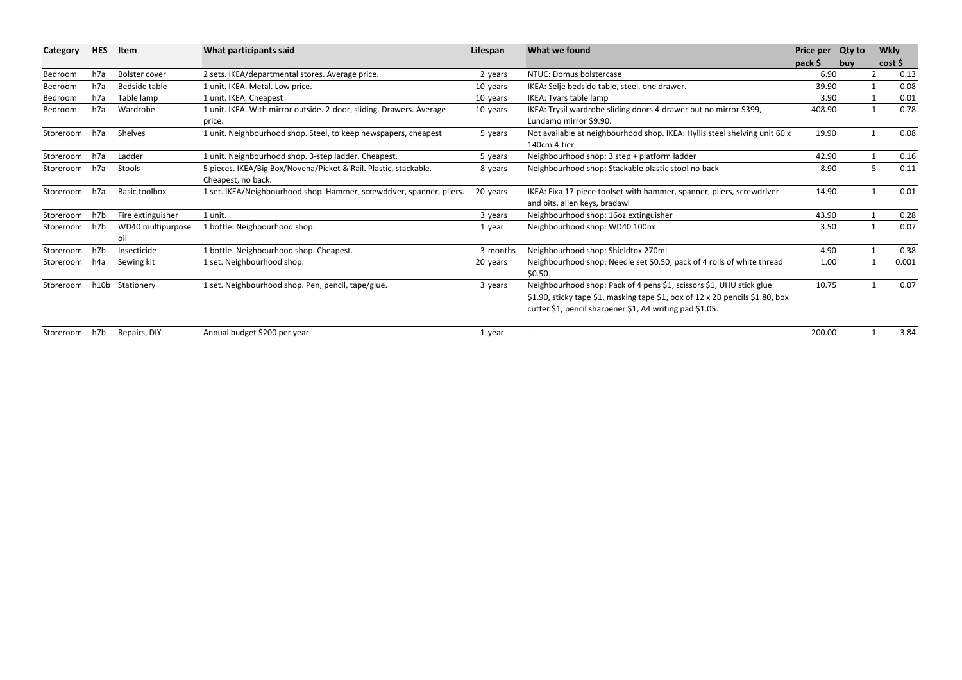| Category      | <b>HES</b> | Item                 |                                                                       | What participants said | Lifespan                                                                      | What we found | Price per | <b>Qty to</b> | <b>Wkly</b> |  |
|---------------|------------|----------------------|-----------------------------------------------------------------------|------------------------|-------------------------------------------------------------------------------|---------------|-----------|---------------|-------------|--|
|               |            |                      |                                                                       |                        |                                                                               | pack \$       | buy       | cost          |             |  |
| Bedroom       | h7a        | Bolster cover        | 2 sets. IKEA/departmental stores. Average price.                      | 2 years                | NTUC: Domus bolstercase                                                       | 6.90          |           |               | 0.13        |  |
| Bedroom       | h7a        | Bedside table        | 1 unit. IKEA. Metal. Low price.                                       | 10 years               | IKEA: Selje bedside table, steel, one drawer.                                 | 39.90         |           |               | 0.08        |  |
| Bedroom       | h7a        | Table lamp           | 1 unit. IKEA. Cheapest                                                | 10 years               | IKEA: Tvars table lamp                                                        | 3.90          |           |               | 0.01        |  |
| Bedroom       | h7a        | Wardrobe             | 1 unit. IKEA. With mirror outside. 2-door, sliding. Drawers. Average  | 10 years               | IKEA: Trysil wardrobe sliding doors 4-drawer but no mirror \$399,             | 408.90        |           |               | 0.78        |  |
|               |            |                      | price.                                                                |                        | Lundamo mirror \$9.90.                                                        |               |           |               |             |  |
| Storeroom     | h7a        | Shelves              | 1 unit. Neighbourhood shop. Steel, to keep newspapers, cheapest       | 5 years                | Not available at neighbourhood shop. IKEA: Hyllis steel shelving unit 60 x    | 19.90         |           |               | 0.08        |  |
|               |            |                      |                                                                       |                        | 140cm 4-tier                                                                  |               |           |               |             |  |
| Storeroom     | h7a        | Ladder               | 1 unit. Neighbourhood shop. 3-step ladder. Cheapest.                  | 5 years                | Neighbourhood shop: 3 step + platform ladder                                  | 42.90         |           |               | 0.16        |  |
| Storeroom     | h7a        | Stools               | 5 pieces. IKEA/Big Box/Novena/Picket & Rail. Plastic, stackable.      | 8 years                | Neighbourhood shop: Stackable plastic stool no back                           | 8.90          |           | 5             | 0.11        |  |
|               |            |                      | Cheapest, no back.                                                    |                        |                                                                               |               |           |               |             |  |
| Storeroom h7a |            | <b>Basic toolbox</b> | 1 set. IKEA/Neighbourhood shop. Hammer, screwdriver, spanner, pliers. | 20 years               | IKEA: Fixa 17-piece toolset with hammer, spanner, pliers, screwdriver         | 14.90         |           |               | 0.01        |  |
|               |            |                      |                                                                       |                        | and bits, allen keys, bradawl                                                 |               |           |               |             |  |
| Storeroom     | h7b        | Fire extinguisher    | 1 unit.                                                               | 3 years                | Neighbourhood shop: 16oz extinguisher                                         | 43.90         |           |               | 0.28        |  |
| Storeroom     | h7b        | WD40 multipurpose    | 1 bottle. Neighbourhood shop.                                         | 1 year                 | Neighbourhood shop: WD40 100ml                                                | 3.50          |           |               | 0.07        |  |
|               |            | oil                  |                                                                       |                        |                                                                               |               |           |               |             |  |
| Storeroom     | h7b        | Insecticide          | 1 bottle. Neighbourhood shop. Cheapest.                               | 3 months               | Neighbourhood shop: Shieldtox 270ml                                           | 4.90          |           |               | 0.38        |  |
| Storeroom     | h4a        | Sewing kit           | 1 set. Neighbourhood shop.                                            | 20 years               | Neighbourhood shop: Needle set \$0.50; pack of 4 rolls of white thread        | 1.00          |           |               | 0.001       |  |
|               |            |                      |                                                                       |                        | \$0.50                                                                        |               |           |               |             |  |
| Storeroom     |            | h10b Stationery      | 1 set. Neighbourhood shop. Pen, pencil, tape/glue.                    | 3 years                | Neighbourhood shop: Pack of 4 pens \$1, scissors \$1, UHU stick glue          | 10.75         |           |               | 0.07        |  |
|               |            |                      |                                                                       |                        | \$1.90, sticky tape \$1, masking tape \$1, box of 12 x 2B pencils \$1.80, box |               |           |               |             |  |
|               |            |                      |                                                                       |                        | cutter \$1, pencil sharpener \$1, A4 writing pad \$1.05.                      |               |           |               |             |  |
| Storeroom h7b |            | Repairs, DIY         | Annual budget \$200 per year                                          | 1 year                 |                                                                               | 200.00        |           |               | 3.84        |  |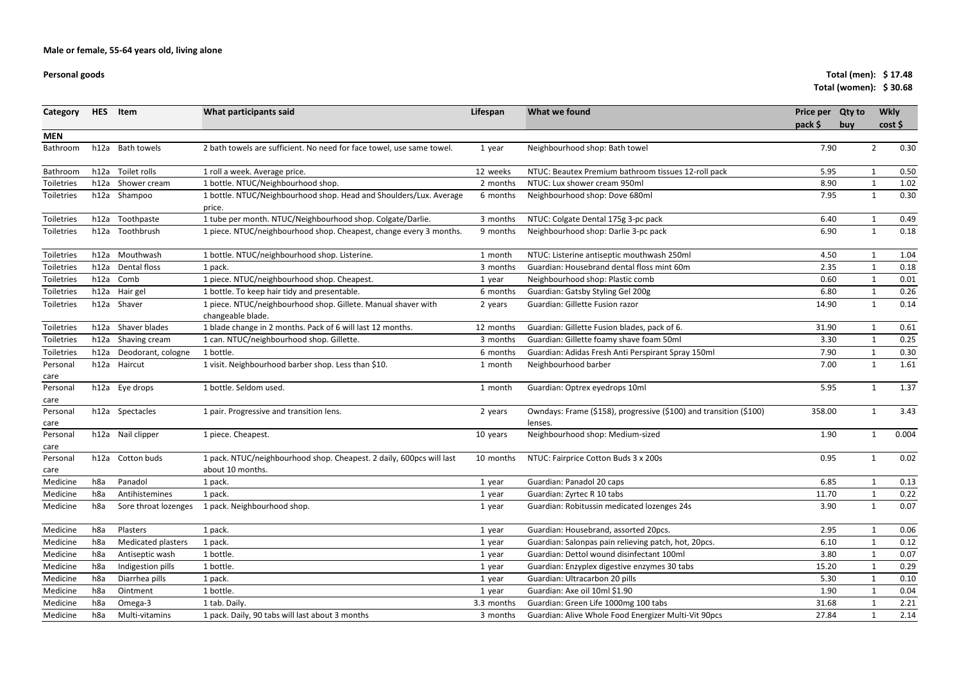### **Personal goods**

### **Total (men): \$ 17.48Total (women): \$ 30.68**

| Category         | <b>HES</b>      | Item                      | What participants said                                                                   | Lifespan   | What we found                                                                 | Price per Qty to<br>pack \$ | buy | <b>Wkly</b><br>cost |       |
|------------------|-----------------|---------------------------|------------------------------------------------------------------------------------------|------------|-------------------------------------------------------------------------------|-----------------------------|-----|---------------------|-------|
| <b>MEN</b>       |                 |                           |                                                                                          |            |                                                                               |                             |     |                     |       |
| Bathroom         |                 | h12a Bath towels          | 2 bath towels are sufficient. No need for face towel, use same towel.                    | 1 year     | Neighbourhood shop: Bath towel                                                | 7.90                        |     | $\overline{2}$      | 0.30  |
| Bathroom         | h12a            | Toilet rolls              | 1 roll a week. Average price.                                                            | 12 weeks   | NTUC: Beautex Premium bathroom tissues 12-roll pack                           | 5.95                        |     |                     | 0.50  |
| Toiletries       | h12a            | Shower cream              | 1 bottle. NTUC/Neighbourhood shop.                                                       | 2 months   | NTUC: Lux shower cream 950ml                                                  | 8.90                        |     |                     | 1.02  |
| Toiletries       |                 | h12a Shampoo              | 1 bottle. NTUC/Neighbourhood shop. Head and Shoulders/Lux. Average<br>price.             | 6 months   | Neighbourhood shop: Dove 680ml                                                | 7.95                        |     |                     | 0.30  |
| Toiletries       | h12a            | Toothpaste                | 1 tube per month. NTUC/Neighbourhood shop. Colgate/Darlie.                               | 3 months   | NTUC: Colgate Dental 175g 3-pc pack                                           | 6.40                        |     | 1                   | 0.49  |
| Toiletries       | h12a            | Toothbrush                | 1 piece. NTUC/neighbourhood shop. Cheapest, change every 3 months.                       | 9 months   | Neighbourhood shop: Darlie 3-pc pack                                          | 6.90                        |     | $\mathbf{1}$        | 0.18  |
| Toiletries       |                 | h12a Mouthwash            | 1 bottle. NTUC/neighbourhood shop. Listerine.                                            | 1 month    | NTUC: Listerine antiseptic mouthwash 250ml                                    | 4.50                        |     | 1                   | 1.04  |
| Toiletries       | h12a            | Dental floss              | 1 pack.                                                                                  | 3 months   | Guardian: Housebrand dental floss mint 60m                                    | 2.35                        |     | $\mathbf{1}$        | 0.18  |
| Toiletries       |                 | h12a Comb                 | 1 piece. NTUC/neighbourhood shop. Cheapest.                                              | 1 year     | Neighbourhood shop: Plastic comb                                              | 0.60                        |     |                     | 0.01  |
| Toiletries       | h12a            | Hair gel                  | 1 bottle. To keep hair tidy and presentable.                                             | 6 months   | Guardian: Gatsby Styling Gel 200g                                             | 6.80                        |     | 1                   | 0.26  |
| Toiletries       |                 | h12a Shaver               | 1 piece. NTUC/neighbourhood shop. Gillete. Manual shaver with<br>changeable blade.       | 2 years    | Guardian: Gillette Fusion razor                                               | 14.90                       |     | $\mathbf{1}$        | 0.14  |
| Toiletries       |                 | h12a Shaver blades        | 1 blade change in 2 months. Pack of 6 will last 12 months.                               | 12 months  | Guardian: Gillette Fusion blades, pack of 6.                                  | 31.90                       |     | 1                   | 0.61  |
| Toiletries       | h12a            | Shaving cream             | 1 can. NTUC/neighbourhood shop. Gillette.                                                | 3 months   | Guardian: Gillette foamy shave foam 50ml                                      | 3.30                        |     | $\mathbf{1}$        | 0.25  |
| Toiletries       | h12a            | Deodorant, cologne        | 1 bottle.                                                                                | 6 months   | Guardian: Adidas Fresh Anti Perspirant Spray 150ml                            | 7.90                        |     | $\mathbf{1}$        | 0.30  |
| Personal<br>care | h12a            | Haircut                   | 1 visit. Neighbourhood barber shop. Less than \$10.                                      | 1 month    | Neighbourhood barber                                                          | 7.00                        |     | $\mathbf{1}$        | 1.61  |
| Personal<br>care |                 | h12a Eye drops            | 1 bottle. Seldom used.                                                                   | 1 month    | Guardian: Optrex eyedrops 10ml                                                | 5.95                        |     | $\mathbf{1}$        | 1.37  |
| Personal<br>care |                 | h12a Spectacles           | 1 pair. Progressive and transition lens.                                                 | 2 years    | Owndays: Frame (\$158), progressive (\$100) and transition (\$100)<br>lenses. | 358.00                      |     |                     | 3.43  |
| Personal<br>care |                 | h12a Nail clipper         | 1 piece. Cheapest.                                                                       | 10 years   | Neighbourhood shop: Medium-sized                                              | 1.90                        |     | 1                   | 0.004 |
| Personal<br>care |                 | h12a Cotton buds          | 1 pack. NTUC/neighbourhood shop. Cheapest. 2 daily, 600pcs will last<br>about 10 months. | 10 months  | NTUC: Fairprice Cotton Buds 3 x 200s                                          | 0.95                        |     |                     | 0.02  |
| Medicine         | h <sub>8a</sub> | Panadol                   | 1 pack.                                                                                  | 1 year     | Guardian: Panadol 20 caps                                                     | 6.85                        |     |                     | 0.13  |
| Medicine         | h <sub>8a</sub> | Antihistemines            | 1 pack.                                                                                  | 1 year     | Guardian: Zyrtec R 10 tabs                                                    | 11.70                       |     |                     | 0.22  |
| Medicine         | h8a             | Sore throat lozenges      | 1 pack. Neighbourhood shop.                                                              | 1 year     | Guardian: Robitussin medicated lozenges 24s                                   | 3.90                        |     | 1                   | 0.07  |
| Medicine         | h8a             | Plasters                  | 1 pack.                                                                                  | 1 year     | Guardian: Housebrand, assorted 20pcs.                                         | 2.95                        |     |                     | 0.06  |
| Medicine         | h8a             | <b>Medicated plasters</b> | 1 pack.                                                                                  | 1 year     | Guardian: Salonpas pain relieving patch, hot, 20pcs.                          | 6.10                        |     |                     | 0.12  |
| Medicine         | h8a             | Antiseptic wash           | 1 bottle.                                                                                | 1 year     | Guardian: Dettol wound disinfectant 100ml                                     | 3.80                        |     |                     | 0.07  |
| Medicine         | h8a             | Indigestion pills         | 1 bottle.                                                                                | 1 year     | Guardian: Enzyplex digestive enzymes 30 tabs                                  | 15.20                       |     |                     | 0.29  |
| Medicine         | h8a             | Diarrhea pills            | 1 pack.                                                                                  | 1 year     | Guardian: Ultracarbon 20 pills                                                | 5.30                        |     |                     | 0.10  |
| Medicine         | h8a             | Ointment                  | 1 bottle.                                                                                | 1 year     | Guardian: Axe oil 10ml \$1.90                                                 | 1.90                        |     |                     | 0.04  |
| Medicine         | h8a             | Omega-3                   | 1 tab. Daily.                                                                            | 3.3 months | Guardian: Green Life 1000mg 100 tabs                                          | 31.68                       |     |                     | 2.21  |
| Medicine         | h8a             | Multi-vitamins            | 1 pack. Daily, 90 tabs will last about 3 months                                          | 3 months   | Guardian: Alive Whole Food Energizer Multi-Vit 90pcs                          | 27.84                       |     | $\mathbf{1}$        | 2.14  |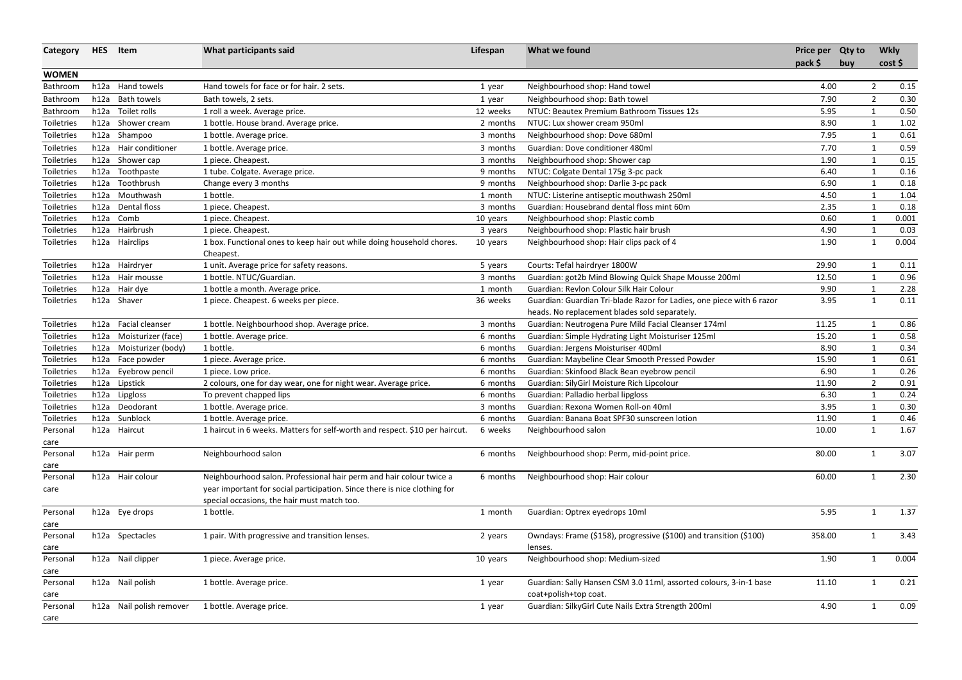| <b>WOMEN</b><br>Hand towels for face or for hair. 2 sets.<br>h12a Hand towels<br>Neighbourhood shop: Hand towel<br>4.00<br>$\overline{2}$<br>Bathroom<br>1 year<br>7.90<br>$\overline{2}$<br>h12a<br><b>Bath towels</b><br>Bath towels, 2 sets.<br>Neighbourhood shop: Bath towel<br>Bathroom<br>1 year<br>Toilet rolls<br>1 roll a week. Average price.<br>NTUC: Beautex Premium Bathroom Tissues 12s<br>5.95<br>0.50<br>h12a<br>12 weeks<br>Bathroom<br>8.90<br>h12a Shower cream<br>1 bottle. House brand. Average price.<br>NTUC: Lux shower cream 950ml<br>$\mathbf{1}$<br>Toiletries<br>2 months<br>h12a Shampoo<br>Neighbourhood shop: Dove 680ml<br>Toiletries<br>1 bottle. Average price.<br>3 months<br>7.95<br>$\mathbf{1}$<br>Hair conditioner<br>Guardian: Dove conditioner 480ml<br>7.70<br>0.59<br>h12a<br>1 bottle. Average price.<br>Toiletries<br>3 months<br>1<br>h12a<br>Shower cap<br>1 piece. Cheapest.<br>Neighbourhood shop: Shower cap<br>1.90<br>0.15<br>Toiletries<br>3 months<br>$\mathbf 1$<br>0.16<br>h12a<br>6.40<br>Toiletries<br>Toothpaste<br>1 tube. Colgate. Average price.<br>9 months<br>NTUC: Colgate Dental 175g 3-pc pack<br>Toothbrush<br>Neighbourhood shop: Darlie 3-pc pack<br>0.18<br>h12a<br>Change every 3 months<br>6.90<br>Toiletries<br>9 months<br>$\mathbf{1}$<br>h12a Mouthwash<br>1 bottle.<br>NTUC: Listerine antiseptic mouthwash 250ml<br>4.50<br>1.04<br>$\mathbf 1$<br>Toiletries<br>1 month<br>0.18<br>h12a Dental floss<br>Guardian: Housebrand dental floss mint 60m<br>2.35<br>Toiletries<br>1 piece. Cheapest.<br>3 months<br>0.001<br>h12a<br>Comb<br>1 piece. Cheapest.<br>Neighbourhood shop: Plastic comb<br>0.60<br>$\mathbf{1}$<br>Toiletries<br>10 years<br>h12a Hairbrush<br>1 piece. Cheapest.<br>Neighbourhood shop: Plastic hair brush<br>4.90<br>Toiletries<br>$\mathbf 1$<br>3 years<br>1 box. Functional ones to keep hair out while doing household chores.<br>Toiletries<br>h12a<br>Hairclips<br>Neighbourhood shop: Hair clips pack of 4<br>1.90<br>10 years<br>1<br>Cheapest.<br>h12a Hairdryer<br>Courts: Tefal hairdryer 1800W<br>Toiletries<br>1 unit. Average price for safety reasons.<br>29.90<br>$\mathbf 1$<br>5 years<br>Guardian: got2b Mind Blowing Quick Shape Mousse 200ml<br>h12a Hair mousse<br>1 bottle. NTUC/Guardian.<br>12.50<br>$\mathbf{1}$<br>Toiletries<br>3 months<br>Guardian: Revlon Colour Silk Hair Colour<br>9.90<br>h12a Hair dye<br>1 bottle a month. Average price.<br>Toiletries<br>1<br>1 month<br>h12a Shaver<br>1 piece. Cheapest. 6 weeks per piece.<br>Guardian: Guardian Tri-blade Razor for Ladies, one piece with 6 razor<br>3.95<br>Toiletries<br>36 weeks<br>$\mathbf{1}$<br>heads. No replacement blades sold separately.<br>h12a Facial cleanser<br>Guardian: Neutrogena Pure Mild Facial Cleanser 174ml<br>11.25<br>Toiletries<br>1 bottle. Neighbourhood shop. Average price.<br>3 months<br>1<br>0.58<br>Guardian: Simple Hydrating Light Moisturiser 125ml<br>15.20<br>Toiletries<br>h12a<br>Moisturizer (face)<br>1 bottle. Average price.<br>6 months<br>$\mathbf{1}$<br>h12a<br>Moisturizer (body)<br>1 bottle.<br>Guardian: Jergens Moisturiser 400ml<br>8.90<br>0.34<br>Toiletries<br>6 months<br>$\mathbf{1}$<br>Guardian: Maybeline Clear Smooth Pressed Powder<br>15.90<br>0.61<br>h12a<br>Face powder<br>1 piece. Average price.<br>$\mathbf 1$<br>Toiletries<br>6 months<br>0.26<br>h12a<br>Eyebrow pencil<br>Guardian: Skinfood Black Bean eyebrow pencil<br>6.90<br>Toiletries<br>1 piece. Low price.<br>6 months<br>$\mathbf{1}$<br>0.91<br>h12a<br>Guardian: SilyGirl Moisture Rich Lipcolour<br>$\overline{2}$<br>Lipstick<br>2 colours, one for day wear, one for night wear. Average price.<br>11.90<br>Toiletries<br>6 months<br>0.24<br>h12a Lipgloss<br>To prevent chapped lips<br>Guardian: Palladio herbal lipgloss<br>6.30<br>Toiletries<br>6 months<br>1<br>3.95<br>h12a Deodorant<br>Guardian: Rexona Women Roll-on 40ml<br>1 bottle. Average price.<br>0.30<br>Toiletries<br>3 months<br>Sunblock<br>Guardian: Banana Boat SPF30 sunscreen lotion<br>11.90<br>0.46<br>h12a<br>1 bottle. Average price.<br>6 months<br>Toiletries<br>1 haircut in 6 weeks. Matters for self-worth and respect. \$10 per haircut.<br>h12a Haircut<br>Neighbourhood salon<br>6 weeks<br>10.00<br>1.67<br>1<br>Personal<br>care<br>Neighbourhood salon<br>Neighbourhood shop: Perm, mid-point price.<br>3.07<br>h12a Hair perm<br>80.00<br>Personal<br>6 months<br>$\mathbf 1$<br>care<br>h12a Hair colour<br>Neighbourhood salon. Professional hair perm and hair colour twice a<br>Neighbourhood shop: Hair colour<br>60.00<br>2.30<br>6 months<br>Personal<br>year important for social participation. Since there is nice clothing for<br>care<br>special occasions, the hair must match too.<br>Guardian: Optrex eyedrops 10ml<br>5.95<br>1.37<br>h12a Eye drops<br>1 bottle.<br>Personal<br>1 month<br>$\mathbf 1$<br>care<br>Owndays: Frame (\$158), progressive (\$100) and transition (\$100)<br>1 pair. With progressive and transition lenses.<br>358.00<br>3.43<br>h12a Spectacles<br>Personal<br>2 years<br>$\mathbf 1$<br>lenses.<br>care<br>h12a Nail clipper<br>Neighbourhood shop: Medium-sized<br>1.90<br>0.004<br>1 piece. Average price.<br>$\mathbf{1}$<br>10 years<br>Personal<br>care<br>h12a Nail polish<br>Guardian: Sally Hansen CSM 3.0 11ml, assorted colours, 3-in-1 base<br>11.10<br>0.21<br>1 bottle. Average price.<br>1 year<br>1<br>Personal<br>coat+polish+top coat.<br>care<br>Guardian: SilkyGirl Cute Nails Extra Strength 200ml<br>h12a Nail polish remover<br>1 bottle. Average price.<br>4.90<br>Personal<br>$\mathbf{1}$<br>1 year | Category | <b>HES</b> | Item | <b>What participants said</b> | Lifespan | What we found | Price per Qty to<br>$pack$ \$ | buy | <b>Wkly</b><br>cost |
|------------------------------------------------------------------------------------------------------------------------------------------------------------------------------------------------------------------------------------------------------------------------------------------------------------------------------------------------------------------------------------------------------------------------------------------------------------------------------------------------------------------------------------------------------------------------------------------------------------------------------------------------------------------------------------------------------------------------------------------------------------------------------------------------------------------------------------------------------------------------------------------------------------------------------------------------------------------------------------------------------------------------------------------------------------------------------------------------------------------------------------------------------------------------------------------------------------------------------------------------------------------------------------------------------------------------------------------------------------------------------------------------------------------------------------------------------------------------------------------------------------------------------------------------------------------------------------------------------------------------------------------------------------------------------------------------------------------------------------------------------------------------------------------------------------------------------------------------------------------------------------------------------------------------------------------------------------------------------------------------------------------------------------------------------------------------------------------------------------------------------------------------------------------------------------------------------------------------------------------------------------------------------------------------------------------------------------------------------------------------------------------------------------------------------------------------------------------------------------------------------------------------------------------------------------------------------------------------------------------------------------------------------------------------------------------------------------------------------------------------------------------------------------------------------------------------------------------------------------------------------------------------------------------------------------------------------------------------------------------------------------------------------------------------------------------------------------------------------------------------------------------------------------------------------------------------------------------------------------------------------------------------------------------------------------------------------------------------------------------------------------------------------------------------------------------------------------------------------------------------------------------------------------------------------------------------------------------------------------------------------------------------------------------------------------------------------------------------------------------------------------------------------------------------------------------------------------------------------------------------------------------------------------------------------------------------------------------------------------------------------------------------------------------------------------------------------------------------------------------------------------------------------------------------------------------------------------------------------------------------------------------------------------------------------------------------------------------------------------------------------------------------------------------------------------------------------------------------------------------------------------------------------------------------------------------------------------------------------------------------------------------------------------------------------------------------------------------------------------------------------------------------------------------------------------------------------------------------------------------------------------------------------------------------------------------------------------------------------------------------------------------------------------------------------------------------------------------------------------------------------------------------------------------------------------------------------------------------------------------------------------------------------------------------------------------------------------------------------------------------------------------------------------------------------------------------------------------------------------------------------------------------------------------------------------------------------------------------------------------------------------------------------------------------------------------------------------------------|----------|------------|------|-------------------------------|----------|---------------|-------------------------------|-----|---------------------|
|                                                                                                                                                                                                                                                                                                                                                                                                                                                                                                                                                                                                                                                                                                                                                                                                                                                                                                                                                                                                                                                                                                                                                                                                                                                                                                                                                                                                                                                                                                                                                                                                                                                                                                                                                                                                                                                                                                                                                                                                                                                                                                                                                                                                                                                                                                                                                                                                                                                                                                                                                                                                                                                                                                                                                                                                                                                                                                                                                                                                                                                                                                                                                                                                                                                                                                                                                                                                                                                                                                                                                                                                                                                                                                                                                                                                                                                                                                                                                                                                                                                                                                                                                                                                                                                                                                                                                                                                                                                                                                                                                                                                                                                                                                                                                                                                                                                                                                                                                                                                                                                                                                                                                                                                                                                                                                                                                                                                                                                                                                                                                                                                                                                                                                                        |          |            |      |                               |          |               |                               |     |                     |
|                                                                                                                                                                                                                                                                                                                                                                                                                                                                                                                                                                                                                                                                                                                                                                                                                                                                                                                                                                                                                                                                                                                                                                                                                                                                                                                                                                                                                                                                                                                                                                                                                                                                                                                                                                                                                                                                                                                                                                                                                                                                                                                                                                                                                                                                                                                                                                                                                                                                                                                                                                                                                                                                                                                                                                                                                                                                                                                                                                                                                                                                                                                                                                                                                                                                                                                                                                                                                                                                                                                                                                                                                                                                                                                                                                                                                                                                                                                                                                                                                                                                                                                                                                                                                                                                                                                                                                                                                                                                                                                                                                                                                                                                                                                                                                                                                                                                                                                                                                                                                                                                                                                                                                                                                                                                                                                                                                                                                                                                                                                                                                                                                                                                                                                        |          |            |      |                               |          |               |                               |     | 0.15                |
|                                                                                                                                                                                                                                                                                                                                                                                                                                                                                                                                                                                                                                                                                                                                                                                                                                                                                                                                                                                                                                                                                                                                                                                                                                                                                                                                                                                                                                                                                                                                                                                                                                                                                                                                                                                                                                                                                                                                                                                                                                                                                                                                                                                                                                                                                                                                                                                                                                                                                                                                                                                                                                                                                                                                                                                                                                                                                                                                                                                                                                                                                                                                                                                                                                                                                                                                                                                                                                                                                                                                                                                                                                                                                                                                                                                                                                                                                                                                                                                                                                                                                                                                                                                                                                                                                                                                                                                                                                                                                                                                                                                                                                                                                                                                                                                                                                                                                                                                                                                                                                                                                                                                                                                                                                                                                                                                                                                                                                                                                                                                                                                                                                                                                                                        |          |            |      |                               |          |               |                               |     | 0.30                |
|                                                                                                                                                                                                                                                                                                                                                                                                                                                                                                                                                                                                                                                                                                                                                                                                                                                                                                                                                                                                                                                                                                                                                                                                                                                                                                                                                                                                                                                                                                                                                                                                                                                                                                                                                                                                                                                                                                                                                                                                                                                                                                                                                                                                                                                                                                                                                                                                                                                                                                                                                                                                                                                                                                                                                                                                                                                                                                                                                                                                                                                                                                                                                                                                                                                                                                                                                                                                                                                                                                                                                                                                                                                                                                                                                                                                                                                                                                                                                                                                                                                                                                                                                                                                                                                                                                                                                                                                                                                                                                                                                                                                                                                                                                                                                                                                                                                                                                                                                                                                                                                                                                                                                                                                                                                                                                                                                                                                                                                                                                                                                                                                                                                                                                                        |          |            |      |                               |          |               |                               |     |                     |
|                                                                                                                                                                                                                                                                                                                                                                                                                                                                                                                                                                                                                                                                                                                                                                                                                                                                                                                                                                                                                                                                                                                                                                                                                                                                                                                                                                                                                                                                                                                                                                                                                                                                                                                                                                                                                                                                                                                                                                                                                                                                                                                                                                                                                                                                                                                                                                                                                                                                                                                                                                                                                                                                                                                                                                                                                                                                                                                                                                                                                                                                                                                                                                                                                                                                                                                                                                                                                                                                                                                                                                                                                                                                                                                                                                                                                                                                                                                                                                                                                                                                                                                                                                                                                                                                                                                                                                                                                                                                                                                                                                                                                                                                                                                                                                                                                                                                                                                                                                                                                                                                                                                                                                                                                                                                                                                                                                                                                                                                                                                                                                                                                                                                                                                        |          |            |      |                               |          |               |                               |     | 1.02                |
|                                                                                                                                                                                                                                                                                                                                                                                                                                                                                                                                                                                                                                                                                                                                                                                                                                                                                                                                                                                                                                                                                                                                                                                                                                                                                                                                                                                                                                                                                                                                                                                                                                                                                                                                                                                                                                                                                                                                                                                                                                                                                                                                                                                                                                                                                                                                                                                                                                                                                                                                                                                                                                                                                                                                                                                                                                                                                                                                                                                                                                                                                                                                                                                                                                                                                                                                                                                                                                                                                                                                                                                                                                                                                                                                                                                                                                                                                                                                                                                                                                                                                                                                                                                                                                                                                                                                                                                                                                                                                                                                                                                                                                                                                                                                                                                                                                                                                                                                                                                                                                                                                                                                                                                                                                                                                                                                                                                                                                                                                                                                                                                                                                                                                                                        |          |            |      |                               |          |               |                               |     | 0.61                |
|                                                                                                                                                                                                                                                                                                                                                                                                                                                                                                                                                                                                                                                                                                                                                                                                                                                                                                                                                                                                                                                                                                                                                                                                                                                                                                                                                                                                                                                                                                                                                                                                                                                                                                                                                                                                                                                                                                                                                                                                                                                                                                                                                                                                                                                                                                                                                                                                                                                                                                                                                                                                                                                                                                                                                                                                                                                                                                                                                                                                                                                                                                                                                                                                                                                                                                                                                                                                                                                                                                                                                                                                                                                                                                                                                                                                                                                                                                                                                                                                                                                                                                                                                                                                                                                                                                                                                                                                                                                                                                                                                                                                                                                                                                                                                                                                                                                                                                                                                                                                                                                                                                                                                                                                                                                                                                                                                                                                                                                                                                                                                                                                                                                                                                                        |          |            |      |                               |          |               |                               |     |                     |
|                                                                                                                                                                                                                                                                                                                                                                                                                                                                                                                                                                                                                                                                                                                                                                                                                                                                                                                                                                                                                                                                                                                                                                                                                                                                                                                                                                                                                                                                                                                                                                                                                                                                                                                                                                                                                                                                                                                                                                                                                                                                                                                                                                                                                                                                                                                                                                                                                                                                                                                                                                                                                                                                                                                                                                                                                                                                                                                                                                                                                                                                                                                                                                                                                                                                                                                                                                                                                                                                                                                                                                                                                                                                                                                                                                                                                                                                                                                                                                                                                                                                                                                                                                                                                                                                                                                                                                                                                                                                                                                                                                                                                                                                                                                                                                                                                                                                                                                                                                                                                                                                                                                                                                                                                                                                                                                                                                                                                                                                                                                                                                                                                                                                                                                        |          |            |      |                               |          |               |                               |     |                     |
|                                                                                                                                                                                                                                                                                                                                                                                                                                                                                                                                                                                                                                                                                                                                                                                                                                                                                                                                                                                                                                                                                                                                                                                                                                                                                                                                                                                                                                                                                                                                                                                                                                                                                                                                                                                                                                                                                                                                                                                                                                                                                                                                                                                                                                                                                                                                                                                                                                                                                                                                                                                                                                                                                                                                                                                                                                                                                                                                                                                                                                                                                                                                                                                                                                                                                                                                                                                                                                                                                                                                                                                                                                                                                                                                                                                                                                                                                                                                                                                                                                                                                                                                                                                                                                                                                                                                                                                                                                                                                                                                                                                                                                                                                                                                                                                                                                                                                                                                                                                                                                                                                                                                                                                                                                                                                                                                                                                                                                                                                                                                                                                                                                                                                                                        |          |            |      |                               |          |               |                               |     |                     |
|                                                                                                                                                                                                                                                                                                                                                                                                                                                                                                                                                                                                                                                                                                                                                                                                                                                                                                                                                                                                                                                                                                                                                                                                                                                                                                                                                                                                                                                                                                                                                                                                                                                                                                                                                                                                                                                                                                                                                                                                                                                                                                                                                                                                                                                                                                                                                                                                                                                                                                                                                                                                                                                                                                                                                                                                                                                                                                                                                                                                                                                                                                                                                                                                                                                                                                                                                                                                                                                                                                                                                                                                                                                                                                                                                                                                                                                                                                                                                                                                                                                                                                                                                                                                                                                                                                                                                                                                                                                                                                                                                                                                                                                                                                                                                                                                                                                                                                                                                                                                                                                                                                                                                                                                                                                                                                                                                                                                                                                                                                                                                                                                                                                                                                                        |          |            |      |                               |          |               |                               |     |                     |
|                                                                                                                                                                                                                                                                                                                                                                                                                                                                                                                                                                                                                                                                                                                                                                                                                                                                                                                                                                                                                                                                                                                                                                                                                                                                                                                                                                                                                                                                                                                                                                                                                                                                                                                                                                                                                                                                                                                                                                                                                                                                                                                                                                                                                                                                                                                                                                                                                                                                                                                                                                                                                                                                                                                                                                                                                                                                                                                                                                                                                                                                                                                                                                                                                                                                                                                                                                                                                                                                                                                                                                                                                                                                                                                                                                                                                                                                                                                                                                                                                                                                                                                                                                                                                                                                                                                                                                                                                                                                                                                                                                                                                                                                                                                                                                                                                                                                                                                                                                                                                                                                                                                                                                                                                                                                                                                                                                                                                                                                                                                                                                                                                                                                                                                        |          |            |      |                               |          |               |                               |     |                     |
|                                                                                                                                                                                                                                                                                                                                                                                                                                                                                                                                                                                                                                                                                                                                                                                                                                                                                                                                                                                                                                                                                                                                                                                                                                                                                                                                                                                                                                                                                                                                                                                                                                                                                                                                                                                                                                                                                                                                                                                                                                                                                                                                                                                                                                                                                                                                                                                                                                                                                                                                                                                                                                                                                                                                                                                                                                                                                                                                                                                                                                                                                                                                                                                                                                                                                                                                                                                                                                                                                                                                                                                                                                                                                                                                                                                                                                                                                                                                                                                                                                                                                                                                                                                                                                                                                                                                                                                                                                                                                                                                                                                                                                                                                                                                                                                                                                                                                                                                                                                                                                                                                                                                                                                                                                                                                                                                                                                                                                                                                                                                                                                                                                                                                                                        |          |            |      |                               |          |               |                               |     |                     |
|                                                                                                                                                                                                                                                                                                                                                                                                                                                                                                                                                                                                                                                                                                                                                                                                                                                                                                                                                                                                                                                                                                                                                                                                                                                                                                                                                                                                                                                                                                                                                                                                                                                                                                                                                                                                                                                                                                                                                                                                                                                                                                                                                                                                                                                                                                                                                                                                                                                                                                                                                                                                                                                                                                                                                                                                                                                                                                                                                                                                                                                                                                                                                                                                                                                                                                                                                                                                                                                                                                                                                                                                                                                                                                                                                                                                                                                                                                                                                                                                                                                                                                                                                                                                                                                                                                                                                                                                                                                                                                                                                                                                                                                                                                                                                                                                                                                                                                                                                                                                                                                                                                                                                                                                                                                                                                                                                                                                                                                                                                                                                                                                                                                                                                                        |          |            |      |                               |          |               |                               |     |                     |
|                                                                                                                                                                                                                                                                                                                                                                                                                                                                                                                                                                                                                                                                                                                                                                                                                                                                                                                                                                                                                                                                                                                                                                                                                                                                                                                                                                                                                                                                                                                                                                                                                                                                                                                                                                                                                                                                                                                                                                                                                                                                                                                                                                                                                                                                                                                                                                                                                                                                                                                                                                                                                                                                                                                                                                                                                                                                                                                                                                                                                                                                                                                                                                                                                                                                                                                                                                                                                                                                                                                                                                                                                                                                                                                                                                                                                                                                                                                                                                                                                                                                                                                                                                                                                                                                                                                                                                                                                                                                                                                                                                                                                                                                                                                                                                                                                                                                                                                                                                                                                                                                                                                                                                                                                                                                                                                                                                                                                                                                                                                                                                                                                                                                                                                        |          |            |      |                               |          |               |                               |     | 0.03                |
|                                                                                                                                                                                                                                                                                                                                                                                                                                                                                                                                                                                                                                                                                                                                                                                                                                                                                                                                                                                                                                                                                                                                                                                                                                                                                                                                                                                                                                                                                                                                                                                                                                                                                                                                                                                                                                                                                                                                                                                                                                                                                                                                                                                                                                                                                                                                                                                                                                                                                                                                                                                                                                                                                                                                                                                                                                                                                                                                                                                                                                                                                                                                                                                                                                                                                                                                                                                                                                                                                                                                                                                                                                                                                                                                                                                                                                                                                                                                                                                                                                                                                                                                                                                                                                                                                                                                                                                                                                                                                                                                                                                                                                                                                                                                                                                                                                                                                                                                                                                                                                                                                                                                                                                                                                                                                                                                                                                                                                                                                                                                                                                                                                                                                                                        |          |            |      |                               |          |               |                               |     | 0.004               |
|                                                                                                                                                                                                                                                                                                                                                                                                                                                                                                                                                                                                                                                                                                                                                                                                                                                                                                                                                                                                                                                                                                                                                                                                                                                                                                                                                                                                                                                                                                                                                                                                                                                                                                                                                                                                                                                                                                                                                                                                                                                                                                                                                                                                                                                                                                                                                                                                                                                                                                                                                                                                                                                                                                                                                                                                                                                                                                                                                                                                                                                                                                                                                                                                                                                                                                                                                                                                                                                                                                                                                                                                                                                                                                                                                                                                                                                                                                                                                                                                                                                                                                                                                                                                                                                                                                                                                                                                                                                                                                                                                                                                                                                                                                                                                                                                                                                                                                                                                                                                                                                                                                                                                                                                                                                                                                                                                                                                                                                                                                                                                                                                                                                                                                                        |          |            |      |                               |          |               |                               |     |                     |
|                                                                                                                                                                                                                                                                                                                                                                                                                                                                                                                                                                                                                                                                                                                                                                                                                                                                                                                                                                                                                                                                                                                                                                                                                                                                                                                                                                                                                                                                                                                                                                                                                                                                                                                                                                                                                                                                                                                                                                                                                                                                                                                                                                                                                                                                                                                                                                                                                                                                                                                                                                                                                                                                                                                                                                                                                                                                                                                                                                                                                                                                                                                                                                                                                                                                                                                                                                                                                                                                                                                                                                                                                                                                                                                                                                                                                                                                                                                                                                                                                                                                                                                                                                                                                                                                                                                                                                                                                                                                                                                                                                                                                                                                                                                                                                                                                                                                                                                                                                                                                                                                                                                                                                                                                                                                                                                                                                                                                                                                                                                                                                                                                                                                                                                        |          |            |      |                               |          |               |                               |     | 0.11                |
|                                                                                                                                                                                                                                                                                                                                                                                                                                                                                                                                                                                                                                                                                                                                                                                                                                                                                                                                                                                                                                                                                                                                                                                                                                                                                                                                                                                                                                                                                                                                                                                                                                                                                                                                                                                                                                                                                                                                                                                                                                                                                                                                                                                                                                                                                                                                                                                                                                                                                                                                                                                                                                                                                                                                                                                                                                                                                                                                                                                                                                                                                                                                                                                                                                                                                                                                                                                                                                                                                                                                                                                                                                                                                                                                                                                                                                                                                                                                                                                                                                                                                                                                                                                                                                                                                                                                                                                                                                                                                                                                                                                                                                                                                                                                                                                                                                                                                                                                                                                                                                                                                                                                                                                                                                                                                                                                                                                                                                                                                                                                                                                                                                                                                                                        |          |            |      |                               |          |               |                               |     | 0.96                |
|                                                                                                                                                                                                                                                                                                                                                                                                                                                                                                                                                                                                                                                                                                                                                                                                                                                                                                                                                                                                                                                                                                                                                                                                                                                                                                                                                                                                                                                                                                                                                                                                                                                                                                                                                                                                                                                                                                                                                                                                                                                                                                                                                                                                                                                                                                                                                                                                                                                                                                                                                                                                                                                                                                                                                                                                                                                                                                                                                                                                                                                                                                                                                                                                                                                                                                                                                                                                                                                                                                                                                                                                                                                                                                                                                                                                                                                                                                                                                                                                                                                                                                                                                                                                                                                                                                                                                                                                                                                                                                                                                                                                                                                                                                                                                                                                                                                                                                                                                                                                                                                                                                                                                                                                                                                                                                                                                                                                                                                                                                                                                                                                                                                                                                                        |          |            |      |                               |          |               |                               |     | 2.28                |
|                                                                                                                                                                                                                                                                                                                                                                                                                                                                                                                                                                                                                                                                                                                                                                                                                                                                                                                                                                                                                                                                                                                                                                                                                                                                                                                                                                                                                                                                                                                                                                                                                                                                                                                                                                                                                                                                                                                                                                                                                                                                                                                                                                                                                                                                                                                                                                                                                                                                                                                                                                                                                                                                                                                                                                                                                                                                                                                                                                                                                                                                                                                                                                                                                                                                                                                                                                                                                                                                                                                                                                                                                                                                                                                                                                                                                                                                                                                                                                                                                                                                                                                                                                                                                                                                                                                                                                                                                                                                                                                                                                                                                                                                                                                                                                                                                                                                                                                                                                                                                                                                                                                                                                                                                                                                                                                                                                                                                                                                                                                                                                                                                                                                                                                        |          |            |      |                               |          |               |                               |     | 0.11                |
|                                                                                                                                                                                                                                                                                                                                                                                                                                                                                                                                                                                                                                                                                                                                                                                                                                                                                                                                                                                                                                                                                                                                                                                                                                                                                                                                                                                                                                                                                                                                                                                                                                                                                                                                                                                                                                                                                                                                                                                                                                                                                                                                                                                                                                                                                                                                                                                                                                                                                                                                                                                                                                                                                                                                                                                                                                                                                                                                                                                                                                                                                                                                                                                                                                                                                                                                                                                                                                                                                                                                                                                                                                                                                                                                                                                                                                                                                                                                                                                                                                                                                                                                                                                                                                                                                                                                                                                                                                                                                                                                                                                                                                                                                                                                                                                                                                                                                                                                                                                                                                                                                                                                                                                                                                                                                                                                                                                                                                                                                                                                                                                                                                                                                                                        |          |            |      |                               |          |               |                               |     |                     |
|                                                                                                                                                                                                                                                                                                                                                                                                                                                                                                                                                                                                                                                                                                                                                                                                                                                                                                                                                                                                                                                                                                                                                                                                                                                                                                                                                                                                                                                                                                                                                                                                                                                                                                                                                                                                                                                                                                                                                                                                                                                                                                                                                                                                                                                                                                                                                                                                                                                                                                                                                                                                                                                                                                                                                                                                                                                                                                                                                                                                                                                                                                                                                                                                                                                                                                                                                                                                                                                                                                                                                                                                                                                                                                                                                                                                                                                                                                                                                                                                                                                                                                                                                                                                                                                                                                                                                                                                                                                                                                                                                                                                                                                                                                                                                                                                                                                                                                                                                                                                                                                                                                                                                                                                                                                                                                                                                                                                                                                                                                                                                                                                                                                                                                                        |          |            |      |                               |          |               |                               |     | 0.86                |
|                                                                                                                                                                                                                                                                                                                                                                                                                                                                                                                                                                                                                                                                                                                                                                                                                                                                                                                                                                                                                                                                                                                                                                                                                                                                                                                                                                                                                                                                                                                                                                                                                                                                                                                                                                                                                                                                                                                                                                                                                                                                                                                                                                                                                                                                                                                                                                                                                                                                                                                                                                                                                                                                                                                                                                                                                                                                                                                                                                                                                                                                                                                                                                                                                                                                                                                                                                                                                                                                                                                                                                                                                                                                                                                                                                                                                                                                                                                                                                                                                                                                                                                                                                                                                                                                                                                                                                                                                                                                                                                                                                                                                                                                                                                                                                                                                                                                                                                                                                                                                                                                                                                                                                                                                                                                                                                                                                                                                                                                                                                                                                                                                                                                                                                        |          |            |      |                               |          |               |                               |     |                     |
|                                                                                                                                                                                                                                                                                                                                                                                                                                                                                                                                                                                                                                                                                                                                                                                                                                                                                                                                                                                                                                                                                                                                                                                                                                                                                                                                                                                                                                                                                                                                                                                                                                                                                                                                                                                                                                                                                                                                                                                                                                                                                                                                                                                                                                                                                                                                                                                                                                                                                                                                                                                                                                                                                                                                                                                                                                                                                                                                                                                                                                                                                                                                                                                                                                                                                                                                                                                                                                                                                                                                                                                                                                                                                                                                                                                                                                                                                                                                                                                                                                                                                                                                                                                                                                                                                                                                                                                                                                                                                                                                                                                                                                                                                                                                                                                                                                                                                                                                                                                                                                                                                                                                                                                                                                                                                                                                                                                                                                                                                                                                                                                                                                                                                                                        |          |            |      |                               |          |               |                               |     |                     |
|                                                                                                                                                                                                                                                                                                                                                                                                                                                                                                                                                                                                                                                                                                                                                                                                                                                                                                                                                                                                                                                                                                                                                                                                                                                                                                                                                                                                                                                                                                                                                                                                                                                                                                                                                                                                                                                                                                                                                                                                                                                                                                                                                                                                                                                                                                                                                                                                                                                                                                                                                                                                                                                                                                                                                                                                                                                                                                                                                                                                                                                                                                                                                                                                                                                                                                                                                                                                                                                                                                                                                                                                                                                                                                                                                                                                                                                                                                                                                                                                                                                                                                                                                                                                                                                                                                                                                                                                                                                                                                                                                                                                                                                                                                                                                                                                                                                                                                                                                                                                                                                                                                                                                                                                                                                                                                                                                                                                                                                                                                                                                                                                                                                                                                                        |          |            |      |                               |          |               |                               |     |                     |
|                                                                                                                                                                                                                                                                                                                                                                                                                                                                                                                                                                                                                                                                                                                                                                                                                                                                                                                                                                                                                                                                                                                                                                                                                                                                                                                                                                                                                                                                                                                                                                                                                                                                                                                                                                                                                                                                                                                                                                                                                                                                                                                                                                                                                                                                                                                                                                                                                                                                                                                                                                                                                                                                                                                                                                                                                                                                                                                                                                                                                                                                                                                                                                                                                                                                                                                                                                                                                                                                                                                                                                                                                                                                                                                                                                                                                                                                                                                                                                                                                                                                                                                                                                                                                                                                                                                                                                                                                                                                                                                                                                                                                                                                                                                                                                                                                                                                                                                                                                                                                                                                                                                                                                                                                                                                                                                                                                                                                                                                                                                                                                                                                                                                                                                        |          |            |      |                               |          |               |                               |     |                     |
|                                                                                                                                                                                                                                                                                                                                                                                                                                                                                                                                                                                                                                                                                                                                                                                                                                                                                                                                                                                                                                                                                                                                                                                                                                                                                                                                                                                                                                                                                                                                                                                                                                                                                                                                                                                                                                                                                                                                                                                                                                                                                                                                                                                                                                                                                                                                                                                                                                                                                                                                                                                                                                                                                                                                                                                                                                                                                                                                                                                                                                                                                                                                                                                                                                                                                                                                                                                                                                                                                                                                                                                                                                                                                                                                                                                                                                                                                                                                                                                                                                                                                                                                                                                                                                                                                                                                                                                                                                                                                                                                                                                                                                                                                                                                                                                                                                                                                                                                                                                                                                                                                                                                                                                                                                                                                                                                                                                                                                                                                                                                                                                                                                                                                                                        |          |            |      |                               |          |               |                               |     |                     |
|                                                                                                                                                                                                                                                                                                                                                                                                                                                                                                                                                                                                                                                                                                                                                                                                                                                                                                                                                                                                                                                                                                                                                                                                                                                                                                                                                                                                                                                                                                                                                                                                                                                                                                                                                                                                                                                                                                                                                                                                                                                                                                                                                                                                                                                                                                                                                                                                                                                                                                                                                                                                                                                                                                                                                                                                                                                                                                                                                                                                                                                                                                                                                                                                                                                                                                                                                                                                                                                                                                                                                                                                                                                                                                                                                                                                                                                                                                                                                                                                                                                                                                                                                                                                                                                                                                                                                                                                                                                                                                                                                                                                                                                                                                                                                                                                                                                                                                                                                                                                                                                                                                                                                                                                                                                                                                                                                                                                                                                                                                                                                                                                                                                                                                                        |          |            |      |                               |          |               |                               |     |                     |
|                                                                                                                                                                                                                                                                                                                                                                                                                                                                                                                                                                                                                                                                                                                                                                                                                                                                                                                                                                                                                                                                                                                                                                                                                                                                                                                                                                                                                                                                                                                                                                                                                                                                                                                                                                                                                                                                                                                                                                                                                                                                                                                                                                                                                                                                                                                                                                                                                                                                                                                                                                                                                                                                                                                                                                                                                                                                                                                                                                                                                                                                                                                                                                                                                                                                                                                                                                                                                                                                                                                                                                                                                                                                                                                                                                                                                                                                                                                                                                                                                                                                                                                                                                                                                                                                                                                                                                                                                                                                                                                                                                                                                                                                                                                                                                                                                                                                                                                                                                                                                                                                                                                                                                                                                                                                                                                                                                                                                                                                                                                                                                                                                                                                                                                        |          |            |      |                               |          |               |                               |     |                     |
|                                                                                                                                                                                                                                                                                                                                                                                                                                                                                                                                                                                                                                                                                                                                                                                                                                                                                                                                                                                                                                                                                                                                                                                                                                                                                                                                                                                                                                                                                                                                                                                                                                                                                                                                                                                                                                                                                                                                                                                                                                                                                                                                                                                                                                                                                                                                                                                                                                                                                                                                                                                                                                                                                                                                                                                                                                                                                                                                                                                                                                                                                                                                                                                                                                                                                                                                                                                                                                                                                                                                                                                                                                                                                                                                                                                                                                                                                                                                                                                                                                                                                                                                                                                                                                                                                                                                                                                                                                                                                                                                                                                                                                                                                                                                                                                                                                                                                                                                                                                                                                                                                                                                                                                                                                                                                                                                                                                                                                                                                                                                                                                                                                                                                                                        |          |            |      |                               |          |               |                               |     |                     |
|                                                                                                                                                                                                                                                                                                                                                                                                                                                                                                                                                                                                                                                                                                                                                                                                                                                                                                                                                                                                                                                                                                                                                                                                                                                                                                                                                                                                                                                                                                                                                                                                                                                                                                                                                                                                                                                                                                                                                                                                                                                                                                                                                                                                                                                                                                                                                                                                                                                                                                                                                                                                                                                                                                                                                                                                                                                                                                                                                                                                                                                                                                                                                                                                                                                                                                                                                                                                                                                                                                                                                                                                                                                                                                                                                                                                                                                                                                                                                                                                                                                                                                                                                                                                                                                                                                                                                                                                                                                                                                                                                                                                                                                                                                                                                                                                                                                                                                                                                                                                                                                                                                                                                                                                                                                                                                                                                                                                                                                                                                                                                                                                                                                                                                                        |          |            |      |                               |          |               |                               |     |                     |
|                                                                                                                                                                                                                                                                                                                                                                                                                                                                                                                                                                                                                                                                                                                                                                                                                                                                                                                                                                                                                                                                                                                                                                                                                                                                                                                                                                                                                                                                                                                                                                                                                                                                                                                                                                                                                                                                                                                                                                                                                                                                                                                                                                                                                                                                                                                                                                                                                                                                                                                                                                                                                                                                                                                                                                                                                                                                                                                                                                                                                                                                                                                                                                                                                                                                                                                                                                                                                                                                                                                                                                                                                                                                                                                                                                                                                                                                                                                                                                                                                                                                                                                                                                                                                                                                                                                                                                                                                                                                                                                                                                                                                                                                                                                                                                                                                                                                                                                                                                                                                                                                                                                                                                                                                                                                                                                                                                                                                                                                                                                                                                                                                                                                                                                        |          |            |      |                               |          |               |                               |     |                     |
|                                                                                                                                                                                                                                                                                                                                                                                                                                                                                                                                                                                                                                                                                                                                                                                                                                                                                                                                                                                                                                                                                                                                                                                                                                                                                                                                                                                                                                                                                                                                                                                                                                                                                                                                                                                                                                                                                                                                                                                                                                                                                                                                                                                                                                                                                                                                                                                                                                                                                                                                                                                                                                                                                                                                                                                                                                                                                                                                                                                                                                                                                                                                                                                                                                                                                                                                                                                                                                                                                                                                                                                                                                                                                                                                                                                                                                                                                                                                                                                                                                                                                                                                                                                                                                                                                                                                                                                                                                                                                                                                                                                                                                                                                                                                                                                                                                                                                                                                                                                                                                                                                                                                                                                                                                                                                                                                                                                                                                                                                                                                                                                                                                                                                                                        |          |            |      |                               |          |               |                               |     |                     |
|                                                                                                                                                                                                                                                                                                                                                                                                                                                                                                                                                                                                                                                                                                                                                                                                                                                                                                                                                                                                                                                                                                                                                                                                                                                                                                                                                                                                                                                                                                                                                                                                                                                                                                                                                                                                                                                                                                                                                                                                                                                                                                                                                                                                                                                                                                                                                                                                                                                                                                                                                                                                                                                                                                                                                                                                                                                                                                                                                                                                                                                                                                                                                                                                                                                                                                                                                                                                                                                                                                                                                                                                                                                                                                                                                                                                                                                                                                                                                                                                                                                                                                                                                                                                                                                                                                                                                                                                                                                                                                                                                                                                                                                                                                                                                                                                                                                                                                                                                                                                                                                                                                                                                                                                                                                                                                                                                                                                                                                                                                                                                                                                                                                                                                                        |          |            |      |                               |          |               |                               |     |                     |
|                                                                                                                                                                                                                                                                                                                                                                                                                                                                                                                                                                                                                                                                                                                                                                                                                                                                                                                                                                                                                                                                                                                                                                                                                                                                                                                                                                                                                                                                                                                                                                                                                                                                                                                                                                                                                                                                                                                                                                                                                                                                                                                                                                                                                                                                                                                                                                                                                                                                                                                                                                                                                                                                                                                                                                                                                                                                                                                                                                                                                                                                                                                                                                                                                                                                                                                                                                                                                                                                                                                                                                                                                                                                                                                                                                                                                                                                                                                                                                                                                                                                                                                                                                                                                                                                                                                                                                                                                                                                                                                                                                                                                                                                                                                                                                                                                                                                                                                                                                                                                                                                                                                                                                                                                                                                                                                                                                                                                                                                                                                                                                                                                                                                                                                        |          |            |      |                               |          |               |                               |     |                     |
|                                                                                                                                                                                                                                                                                                                                                                                                                                                                                                                                                                                                                                                                                                                                                                                                                                                                                                                                                                                                                                                                                                                                                                                                                                                                                                                                                                                                                                                                                                                                                                                                                                                                                                                                                                                                                                                                                                                                                                                                                                                                                                                                                                                                                                                                                                                                                                                                                                                                                                                                                                                                                                                                                                                                                                                                                                                                                                                                                                                                                                                                                                                                                                                                                                                                                                                                                                                                                                                                                                                                                                                                                                                                                                                                                                                                                                                                                                                                                                                                                                                                                                                                                                                                                                                                                                                                                                                                                                                                                                                                                                                                                                                                                                                                                                                                                                                                                                                                                                                                                                                                                                                                                                                                                                                                                                                                                                                                                                                                                                                                                                                                                                                                                                                        |          |            |      |                               |          |               |                               |     |                     |
|                                                                                                                                                                                                                                                                                                                                                                                                                                                                                                                                                                                                                                                                                                                                                                                                                                                                                                                                                                                                                                                                                                                                                                                                                                                                                                                                                                                                                                                                                                                                                                                                                                                                                                                                                                                                                                                                                                                                                                                                                                                                                                                                                                                                                                                                                                                                                                                                                                                                                                                                                                                                                                                                                                                                                                                                                                                                                                                                                                                                                                                                                                                                                                                                                                                                                                                                                                                                                                                                                                                                                                                                                                                                                                                                                                                                                                                                                                                                                                                                                                                                                                                                                                                                                                                                                                                                                                                                                                                                                                                                                                                                                                                                                                                                                                                                                                                                                                                                                                                                                                                                                                                                                                                                                                                                                                                                                                                                                                                                                                                                                                                                                                                                                                                        |          |            |      |                               |          |               |                               |     |                     |
|                                                                                                                                                                                                                                                                                                                                                                                                                                                                                                                                                                                                                                                                                                                                                                                                                                                                                                                                                                                                                                                                                                                                                                                                                                                                                                                                                                                                                                                                                                                                                                                                                                                                                                                                                                                                                                                                                                                                                                                                                                                                                                                                                                                                                                                                                                                                                                                                                                                                                                                                                                                                                                                                                                                                                                                                                                                                                                                                                                                                                                                                                                                                                                                                                                                                                                                                                                                                                                                                                                                                                                                                                                                                                                                                                                                                                                                                                                                                                                                                                                                                                                                                                                                                                                                                                                                                                                                                                                                                                                                                                                                                                                                                                                                                                                                                                                                                                                                                                                                                                                                                                                                                                                                                                                                                                                                                                                                                                                                                                                                                                                                                                                                                                                                        |          |            |      |                               |          |               |                               |     |                     |
|                                                                                                                                                                                                                                                                                                                                                                                                                                                                                                                                                                                                                                                                                                                                                                                                                                                                                                                                                                                                                                                                                                                                                                                                                                                                                                                                                                                                                                                                                                                                                                                                                                                                                                                                                                                                                                                                                                                                                                                                                                                                                                                                                                                                                                                                                                                                                                                                                                                                                                                                                                                                                                                                                                                                                                                                                                                                                                                                                                                                                                                                                                                                                                                                                                                                                                                                                                                                                                                                                                                                                                                                                                                                                                                                                                                                                                                                                                                                                                                                                                                                                                                                                                                                                                                                                                                                                                                                                                                                                                                                                                                                                                                                                                                                                                                                                                                                                                                                                                                                                                                                                                                                                                                                                                                                                                                                                                                                                                                                                                                                                                                                                                                                                                                        |          |            |      |                               |          |               |                               |     |                     |
|                                                                                                                                                                                                                                                                                                                                                                                                                                                                                                                                                                                                                                                                                                                                                                                                                                                                                                                                                                                                                                                                                                                                                                                                                                                                                                                                                                                                                                                                                                                                                                                                                                                                                                                                                                                                                                                                                                                                                                                                                                                                                                                                                                                                                                                                                                                                                                                                                                                                                                                                                                                                                                                                                                                                                                                                                                                                                                                                                                                                                                                                                                                                                                                                                                                                                                                                                                                                                                                                                                                                                                                                                                                                                                                                                                                                                                                                                                                                                                                                                                                                                                                                                                                                                                                                                                                                                                                                                                                                                                                                                                                                                                                                                                                                                                                                                                                                                                                                                                                                                                                                                                                                                                                                                                                                                                                                                                                                                                                                                                                                                                                                                                                                                                                        |          |            |      |                               |          |               |                               |     |                     |
|                                                                                                                                                                                                                                                                                                                                                                                                                                                                                                                                                                                                                                                                                                                                                                                                                                                                                                                                                                                                                                                                                                                                                                                                                                                                                                                                                                                                                                                                                                                                                                                                                                                                                                                                                                                                                                                                                                                                                                                                                                                                                                                                                                                                                                                                                                                                                                                                                                                                                                                                                                                                                                                                                                                                                                                                                                                                                                                                                                                                                                                                                                                                                                                                                                                                                                                                                                                                                                                                                                                                                                                                                                                                                                                                                                                                                                                                                                                                                                                                                                                                                                                                                                                                                                                                                                                                                                                                                                                                                                                                                                                                                                                                                                                                                                                                                                                                                                                                                                                                                                                                                                                                                                                                                                                                                                                                                                                                                                                                                                                                                                                                                                                                                                                        |          |            |      |                               |          |               |                               |     |                     |
|                                                                                                                                                                                                                                                                                                                                                                                                                                                                                                                                                                                                                                                                                                                                                                                                                                                                                                                                                                                                                                                                                                                                                                                                                                                                                                                                                                                                                                                                                                                                                                                                                                                                                                                                                                                                                                                                                                                                                                                                                                                                                                                                                                                                                                                                                                                                                                                                                                                                                                                                                                                                                                                                                                                                                                                                                                                                                                                                                                                                                                                                                                                                                                                                                                                                                                                                                                                                                                                                                                                                                                                                                                                                                                                                                                                                                                                                                                                                                                                                                                                                                                                                                                                                                                                                                                                                                                                                                                                                                                                                                                                                                                                                                                                                                                                                                                                                                                                                                                                                                                                                                                                                                                                                                                                                                                                                                                                                                                                                                                                                                                                                                                                                                                                        |          |            |      |                               |          |               |                               |     |                     |
|                                                                                                                                                                                                                                                                                                                                                                                                                                                                                                                                                                                                                                                                                                                                                                                                                                                                                                                                                                                                                                                                                                                                                                                                                                                                                                                                                                                                                                                                                                                                                                                                                                                                                                                                                                                                                                                                                                                                                                                                                                                                                                                                                                                                                                                                                                                                                                                                                                                                                                                                                                                                                                                                                                                                                                                                                                                                                                                                                                                                                                                                                                                                                                                                                                                                                                                                                                                                                                                                                                                                                                                                                                                                                                                                                                                                                                                                                                                                                                                                                                                                                                                                                                                                                                                                                                                                                                                                                                                                                                                                                                                                                                                                                                                                                                                                                                                                                                                                                                                                                                                                                                                                                                                                                                                                                                                                                                                                                                                                                                                                                                                                                                                                                                                        |          |            |      |                               |          |               |                               |     |                     |
|                                                                                                                                                                                                                                                                                                                                                                                                                                                                                                                                                                                                                                                                                                                                                                                                                                                                                                                                                                                                                                                                                                                                                                                                                                                                                                                                                                                                                                                                                                                                                                                                                                                                                                                                                                                                                                                                                                                                                                                                                                                                                                                                                                                                                                                                                                                                                                                                                                                                                                                                                                                                                                                                                                                                                                                                                                                                                                                                                                                                                                                                                                                                                                                                                                                                                                                                                                                                                                                                                                                                                                                                                                                                                                                                                                                                                                                                                                                                                                                                                                                                                                                                                                                                                                                                                                                                                                                                                                                                                                                                                                                                                                                                                                                                                                                                                                                                                                                                                                                                                                                                                                                                                                                                                                                                                                                                                                                                                                                                                                                                                                                                                                                                                                                        |          |            |      |                               |          |               |                               |     |                     |
|                                                                                                                                                                                                                                                                                                                                                                                                                                                                                                                                                                                                                                                                                                                                                                                                                                                                                                                                                                                                                                                                                                                                                                                                                                                                                                                                                                                                                                                                                                                                                                                                                                                                                                                                                                                                                                                                                                                                                                                                                                                                                                                                                                                                                                                                                                                                                                                                                                                                                                                                                                                                                                                                                                                                                                                                                                                                                                                                                                                                                                                                                                                                                                                                                                                                                                                                                                                                                                                                                                                                                                                                                                                                                                                                                                                                                                                                                                                                                                                                                                                                                                                                                                                                                                                                                                                                                                                                                                                                                                                                                                                                                                                                                                                                                                                                                                                                                                                                                                                                                                                                                                                                                                                                                                                                                                                                                                                                                                                                                                                                                                                                                                                                                                                        |          |            |      |                               |          |               |                               |     |                     |
|                                                                                                                                                                                                                                                                                                                                                                                                                                                                                                                                                                                                                                                                                                                                                                                                                                                                                                                                                                                                                                                                                                                                                                                                                                                                                                                                                                                                                                                                                                                                                                                                                                                                                                                                                                                                                                                                                                                                                                                                                                                                                                                                                                                                                                                                                                                                                                                                                                                                                                                                                                                                                                                                                                                                                                                                                                                                                                                                                                                                                                                                                                                                                                                                                                                                                                                                                                                                                                                                                                                                                                                                                                                                                                                                                                                                                                                                                                                                                                                                                                                                                                                                                                                                                                                                                                                                                                                                                                                                                                                                                                                                                                                                                                                                                                                                                                                                                                                                                                                                                                                                                                                                                                                                                                                                                                                                                                                                                                                                                                                                                                                                                                                                                                                        |          |            |      |                               |          |               |                               |     | 0.09                |
| care                                                                                                                                                                                                                                                                                                                                                                                                                                                                                                                                                                                                                                                                                                                                                                                                                                                                                                                                                                                                                                                                                                                                                                                                                                                                                                                                                                                                                                                                                                                                                                                                                                                                                                                                                                                                                                                                                                                                                                                                                                                                                                                                                                                                                                                                                                                                                                                                                                                                                                                                                                                                                                                                                                                                                                                                                                                                                                                                                                                                                                                                                                                                                                                                                                                                                                                                                                                                                                                                                                                                                                                                                                                                                                                                                                                                                                                                                                                                                                                                                                                                                                                                                                                                                                                                                                                                                                                                                                                                                                                                                                                                                                                                                                                                                                                                                                                                                                                                                                                                                                                                                                                                                                                                                                                                                                                                                                                                                                                                                                                                                                                                                                                                                                                   |          |            |      |                               |          |               |                               |     |                     |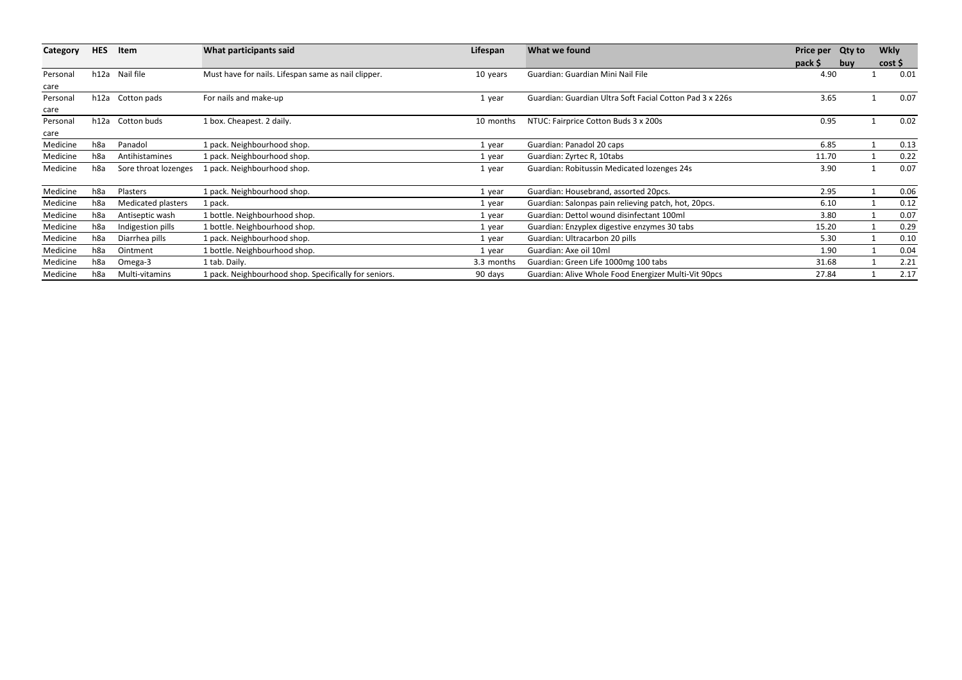| Category | <b>HES</b> | Item                 |                                                       | What participants said | Lifespan                                                 | What we found |     | Price per Qty to | <b>Wkly</b> |  |
|----------|------------|----------------------|-------------------------------------------------------|------------------------|----------------------------------------------------------|---------------|-----|------------------|-------------|--|
|          |            |                      |                                                       |                        |                                                          | pack \$       | buy | cost             |             |  |
| Personal | h12a       | Nail file            | Must have for nails. Lifespan same as nail clipper.   | 10 years               | Guardian: Guardian Mini Nail File                        | 4.90          |     |                  | 0.01        |  |
| care     |            |                      |                                                       |                        |                                                          |               |     |                  |             |  |
| Personal |            | h12a Cotton pads     | For nails and make-up                                 | 1 year                 | Guardian: Guardian Ultra Soft Facial Cotton Pad 3 x 226s | 3.65          |     |                  | 0.07        |  |
| care     |            |                      |                                                       |                        |                                                          |               |     |                  |             |  |
| Personal | h12a       | Cotton buds          | 1 box. Cheapest. 2 daily.                             | 10 months              | NTUC: Fairprice Cotton Buds 3 x 200s                     | 0.95          |     |                  | 0.02        |  |
| care     |            |                      |                                                       |                        |                                                          |               |     |                  |             |  |
| Medicine | h8a        | Panadol              | 1 pack. Neighbourhood shop.                           | 1 year                 | Guardian: Panadol 20 caps                                | 6.85          |     |                  | 0.13        |  |
| Medicine | h8a        | Antihistamines       | 1 pack. Neighbourhood shop.                           | 1 year                 | Guardian: Zyrtec R, 10tabs                               | 11.70         |     |                  | 0.22        |  |
| Medicine | h8a        | Sore throat lozenges | 1 pack. Neighbourhood shop.                           | 1 year                 | Guardian: Robitussin Medicated lozenges 24s              | 3.90          |     |                  | 0.07        |  |
| Medicine | h8a        | Plasters             | I pack. Neighbourhood shop.                           | 1 year                 | Guardian: Housebrand, assorted 20pcs.                    | 2.95          |     |                  | 0.06        |  |
| Medicine | h8a        | Medicated plasters   | 1 pack.                                               | 1 year                 | Guardian: Salonpas pain relieving patch, hot, 20pcs.     | 6.10          |     |                  | 0.12        |  |
| Medicine | h8a        | Antiseptic wash      | 1 bottle. Neighbourhood shop.                         | 1 year                 | Guardian: Dettol wound disinfectant 100ml                | 3.80          |     |                  | 0.07        |  |
| Medicine | h8a        | Indigestion pills    | 1 bottle. Neighbourhood shop.                         | 1 year                 | Guardian: Enzyplex digestive enzymes 30 tabs             | 15.20         |     |                  | 0.29        |  |
| Medicine | h8a        | Diarrhea pills       | 1 pack. Neighbourhood shop.                           | 1 year                 | Guardian: Ultracarbon 20 pills                           | 5.30          |     |                  | 0.10        |  |
| Medicine | h8a        | Ointment             | 1 bottle. Neighbourhood shop.                         | 1 year                 | Guardian: Axe oil 10ml                                   | 1.90          |     |                  | 0.04        |  |
| Medicine | h8a        | Omega-3              | 1 tab. Daily.                                         | 3.3 months             | Guardian: Green Life 1000mg 100 tabs                     | 31.68         |     |                  | 2.21        |  |
| Medicine | h8a        | Multi-vitamins       | 1 pack. Neighbourhood shop. Specifically for seniors. | 90 days                | Guardian: Alive Whole Food Energizer Multi-Vit 90pcs     | 27.84         |     |                  | 2.17        |  |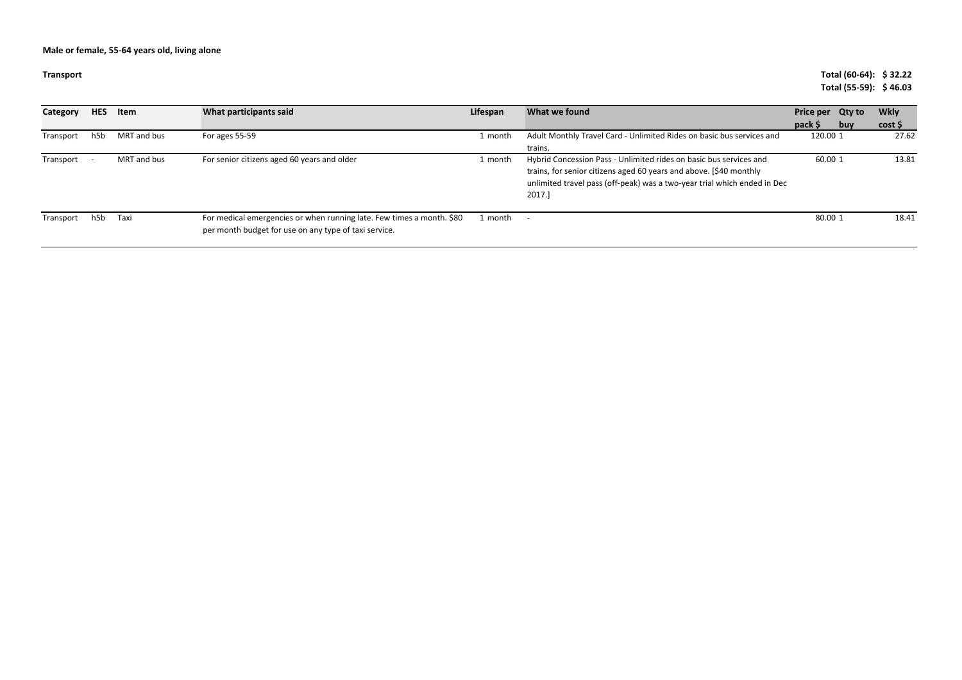| <b>Transport</b> |                  |             |                                                                                                                                |          |                                                                                                                                                                                                                                | Total (60-64): \$32.22<br>Total (55-59): \$46.03 |                     |
|------------------|------------------|-------------|--------------------------------------------------------------------------------------------------------------------------------|----------|--------------------------------------------------------------------------------------------------------------------------------------------------------------------------------------------------------------------------------|--------------------------------------------------|---------------------|
| Category         | <b>HES</b>       | Item        | What participants said                                                                                                         | Lifespan | What we found                                                                                                                                                                                                                  | Price per Qty to<br>pack \$<br>buy               | <b>Wkly</b><br>cost |
| Transport        | h <sub>5</sub> b | MRT and bus | For ages 55-59                                                                                                                 | 1 month  | Adult Monthly Travel Card - Unlimited Rides on basic bus services and<br>trains.                                                                                                                                               | 120.00 1                                         | 27.62               |
| Transport        |                  | MRT and bus | For senior citizens aged 60 years and older                                                                                    | 1 month  | Hybrid Concession Pass - Unlimited rides on basic bus services and<br>trains, for senior citizens aged 60 years and above. [\$40 monthly<br>unlimited travel pass (off-peak) was a two-year trial which ended in Dec<br>2017.] | 60.00 1                                          | 13.81               |
| Transport        | h <sub>5</sub> b | Taxi        | For medical emergencies or when running late. Few times a month. \$80<br>per month budget for use on any type of taxi service. | 1 month  |                                                                                                                                                                                                                                | 80.00 1                                          | 18.41               |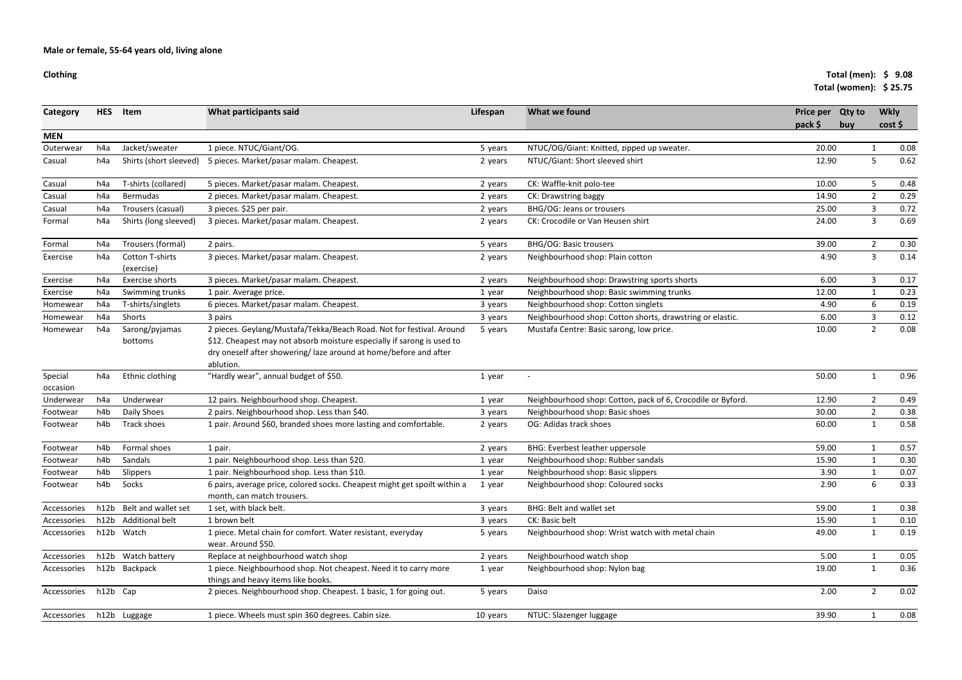### **Clothing**

### **Total (men): \$ 9.08Total (women): \$ 25.75**

|                     |            |                                      |                                                                                                                                                                                                                                 |          |                                                             |                             |            | 1000111001110117222175 |  |
|---------------------|------------|--------------------------------------|---------------------------------------------------------------------------------------------------------------------------------------------------------------------------------------------------------------------------------|----------|-------------------------------------------------------------|-----------------------------|------------|------------------------|--|
| <b>Category</b>     | <b>HES</b> | Item                                 | What participants said                                                                                                                                                                                                          | Lifespan | What we found                                               | Price per Qty to<br>pack \$ | <b>buv</b> | <b>Wkly</b><br>cost    |  |
| <b>MEN</b>          |            |                                      |                                                                                                                                                                                                                                 |          |                                                             |                             |            |                        |  |
| Outerwear           | h4a        | Jacket/sweater                       | 1 piece. NTUC/Giant/OG.                                                                                                                                                                                                         | 5 years  | NTUC/OG/Giant: Knitted, zipped up sweater.                  | 20.00                       |            | 0.08<br>1              |  |
| Casual              | h4a        | Shirts (short sleeved)               | 5 pieces. Market/pasar malam. Cheapest.                                                                                                                                                                                         | 2 years  | NTUC/Giant: Short sleeved shirt                             | 12.90                       |            | 5<br>0.62              |  |
| Casual              | h4a        | T-shirts (collared)                  | 5 pieces. Market/pasar malam. Cheapest.                                                                                                                                                                                         | 2 years  | CK: Waffle-knit polo-tee                                    | 10.00                       |            | 5<br>0.48              |  |
| Casual              | h4a        | Bermudas                             | 2 pieces. Market/pasar malam. Cheapest.                                                                                                                                                                                         | 2 years  | CK: Drawstring baggy                                        | 14.90                       |            | $\overline{2}$<br>0.29 |  |
| Casual              | h4a        | Trousers (casual)                    | 3 pieces. \$25 per pair.                                                                                                                                                                                                        | 2 years  | BHG/OG: Jeans or trousers                                   | 25.00                       |            | 3<br>0.72              |  |
| Formal              | h4a        | Shirts (long sleeved)                | 3 pieces. Market/pasar malam. Cheapest.                                                                                                                                                                                         | 2 years  | CK: Crocodile or Van Heusen shirt                           | 24.00                       |            | $\mathbf{3}$<br>0.69   |  |
| Formal              | h4a        | Trousers (formal)                    | 2 pairs.                                                                                                                                                                                                                        | 5 years  | <b>BHG/OG: Basic trousers</b>                               | 39.00                       |            | $\overline{2}$<br>0.30 |  |
| Exercise            | h4a        | <b>Cotton T-shirts</b><br>(exercise) | 3 pieces. Market/pasar malam. Cheapest.                                                                                                                                                                                         | 2 years  | Neighbourhood shop: Plain cotton                            | 4.90                        |            | $\mathbf{3}$<br>0.14   |  |
| Exercise            | h4a        | Exercise shorts                      | 3 pieces. Market/pasar malam. Cheapest.                                                                                                                                                                                         | 2 years  | Neighbourhood shop: Drawstring sports shorts                | 6.00                        |            | 3<br>0.17              |  |
| Exercise            | h4a        | Swimming trunks                      | 1 pair. Average price.                                                                                                                                                                                                          | 1 year   | Neighbourhood shop: Basic swimming trunks                   | 12.00                       |            | $\mathbf{1}$<br>0.23   |  |
| Homewear            | h4a        | T-shirts/singlets                    | 6 pieces. Market/pasar malam. Cheapest.                                                                                                                                                                                         | 3 years  | Neighbourhood shop: Cotton singlets                         | 4.90                        |            | 6<br>0.19              |  |
| Homewear            | h4a        | Shorts                               | 3 pairs                                                                                                                                                                                                                         | 3 years  | Neighbourhood shop: Cotton shorts, drawstring or elastic.   | 6.00                        |            | 3<br>0.12              |  |
| Homewear            | h4a        | Sarong/pyjamas<br>bottoms            | 2 pieces. Geylang/Mustafa/Tekka/Beach Road. Not for festival. Around<br>\$12. Cheapest may not absorb moisture especially if sarong is used to<br>dry oneself after showering/laze around at home/before and after<br>ablution. | 5 years  | Mustafa Centre: Basic sarong, low price.                    | 10.00                       |            | $2^{\circ}$<br>0.08    |  |
| Special<br>occasion | h4a        | Ethnic clothing                      | "Hardly wear", annual budget of \$50.                                                                                                                                                                                           | 1 year   | $\overline{\phantom{a}}$                                    | 50.00                       |            | 0.96<br>1              |  |
| Underwear           | h4a        | Underwear                            | 12 pairs. Neighbourhood shop. Cheapest.                                                                                                                                                                                         | 1 year   | Neighbourhood shop: Cotton, pack of 6, Crocodile or Byford. | 12.90                       |            | $2^{\circ}$<br>0.49    |  |
| Footwear            | h4b        | Daily Shoes                          | 2 pairs. Neighbourhood shop. Less than \$40.                                                                                                                                                                                    | 3 years  | Neighbourhood shop: Basic shoes                             | 30.00                       |            | $2^{\circ}$<br>0.38    |  |
| Footwear            | h4b        | Track shoes                          | 1 pair. Around \$60, branded shoes more lasting and comfortable.                                                                                                                                                                | 2 years  | OG: Adidas track shoes                                      | 60.00                       |            | 0.58<br>$\mathbf{1}$   |  |
| Footwear            | h4b        | Formal shoes                         | 1 pair.                                                                                                                                                                                                                         | 2 years  | <b>BHG: Everbest leather uppersole</b>                      | 59.00                       |            | 0.57<br>1              |  |
| Footwear            | h4b        | Sandals                              | 1 pair. Neighbourhood shop. Less than \$20.                                                                                                                                                                                     | 1 year   | Neighbourhood shop: Rubber sandals                          | 15.90                       |            | $\mathbf{1}$<br>0.30   |  |
| Footwear            | h4b        | Slippers                             | 1 pair. Neighbourhood shop. Less than \$10.                                                                                                                                                                                     | 1 year   | Neighbourhood shop: Basic slippers                          | 3.90                        |            | 0.07                   |  |
| Footwear            | h4b        | Socks                                | 6 pairs, average price, colored socks. Cheapest might get spoilt within a<br>month, can match trousers.                                                                                                                         | 1 year   | Neighbourhood shop: Coloured socks                          | 2.90                        |            | 6<br>0.33              |  |
| Accessories         | h12b       | Belt and wallet set                  | 1 set, with black belt.                                                                                                                                                                                                         | 3 years  | BHG: Belt and wallet set                                    | 59.00                       |            | 0.38                   |  |
| Accessories         | h12b       | <b>Additional belt</b>               | 1 brown belt                                                                                                                                                                                                                    | 3 years  | CK: Basic belt                                              | 15.90                       |            | 0.10                   |  |
| Accessories         |            | h12b Watch                           | 1 piece. Metal chain for comfort. Water resistant, everyday<br>wear. Around \$50.                                                                                                                                               | 5 years  | Neighbourhood shop: Wrist watch with metal chain            | 49.00                       |            | 0.19<br>$\mathbf{1}$   |  |
| Accessories         |            | h12b Watch battery                   | Replace at neighbourhood watch shop                                                                                                                                                                                             | 2 years  | Neighbourhood watch shop                                    | 5.00                        |            | 0.05<br>$\mathbf{1}$   |  |
| Accessories         |            | h12b Backpack                        | 1 piece. Neighbourhood shop. Not cheapest. Need it to carry more<br>things and heavy items like books.                                                                                                                          | 1 year   | Neighbourhood shop: Nylon bag                               | 19.00                       |            | $\mathbf{1}$<br>0.36   |  |
| Accessories         | h12b Cap   |                                      | 2 pieces. Neighbourhood shop. Cheapest. 1 basic, 1 for going out.                                                                                                                                                               | 5 years  | Daiso                                                       | 2.00                        |            | $\overline{2}$<br>0.02 |  |
| Accessories         |            | h12b Luggage                         | 1 piece. Wheels must spin 360 degrees. Cabin size.                                                                                                                                                                              | 10 years | NTUC: Slazenger luggage                                     | 39.90                       |            | 0.08<br>$\mathbf{1}$   |  |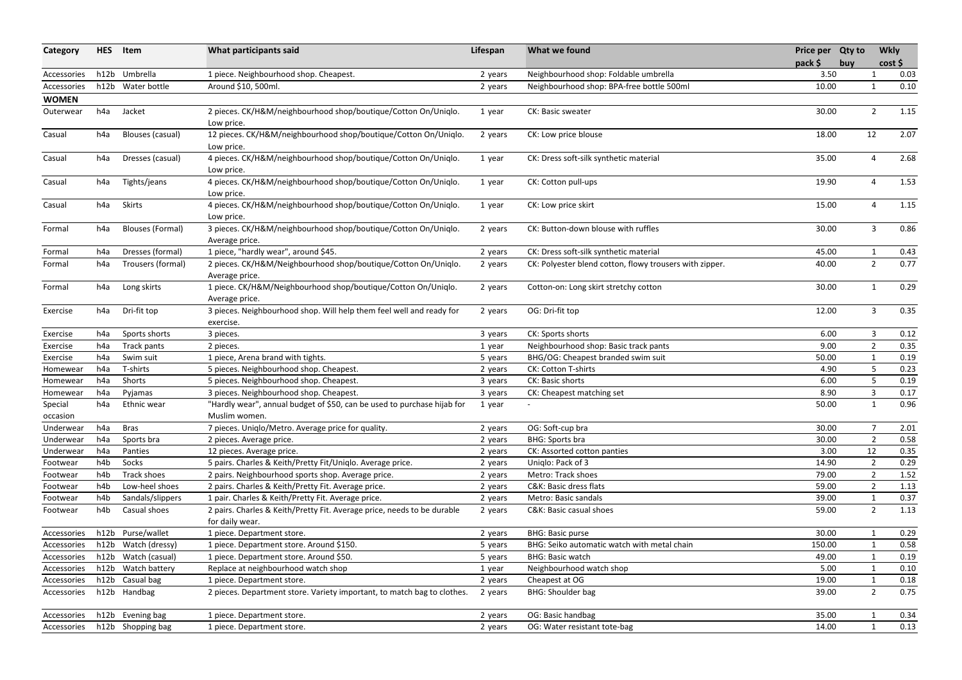| Category            | <b>HES</b>       | Item                    | What participants said                                                                          | Lifespan | What we found                                           | Price per Qty to<br>pack \$ | buy | <b>Wkly</b><br>cost |      |
|---------------------|------------------|-------------------------|-------------------------------------------------------------------------------------------------|----------|---------------------------------------------------------|-----------------------------|-----|---------------------|------|
| Accessories         |                  | h12b Umbrella           | 1 piece. Neighbourhood shop. Cheapest.                                                          | 2 years  | Neighbourhood shop: Foldable umbrella                   | 3.50                        |     |                     | 0.03 |
| Accessories         |                  | h12b Water bottle       | Around \$10, 500ml.                                                                             | 2 years  | Neighbourhood shop: BPA-free bottle 500ml               | 10.00                       |     |                     | 0.10 |
| <b>WOMEN</b>        |                  |                         |                                                                                                 |          |                                                         |                             |     |                     |      |
| Outerwear           | h4a              | Jacket                  | 2 pieces. CK/H&M/neighbourhood shop/boutique/Cotton On/Uniqlo.<br>Low price.                    | 1 year   | CK: Basic sweater                                       | 30.00                       |     | $\overline{2}$      | 1.15 |
| Casual              | h4a              | Blouses (casual)        | 12 pieces. CK/H&M/neighbourhood shop/boutique/Cotton On/Uniqlo.<br>Low price.                   | 2 years  | CK: Low price blouse                                    | 18.00                       |     | 12                  | 2.07 |
| Casual              | h4a              | Dresses (casual)        | 4 pieces. CK/H&M/neighbourhood shop/boutique/Cotton On/Uniqlo.<br>Low price.                    | 1 year   | CK: Dress soft-silk synthetic material                  | 35.00                       |     | 4                   | 2.68 |
| Casual              | h4a              | Tights/jeans            | 4 pieces. CK/H&M/neighbourhood shop/boutique/Cotton On/Uniqlo.<br>Low price.                    | 1 year   | CK: Cotton pull-ups                                     | 19.90                       |     |                     | 1.53 |
| Casual              | h4a              | Skirts                  | 4 pieces. CK/H&M/neighbourhood shop/boutique/Cotton On/Uniqlo.<br>Low price.                    | 1 year   | CK: Low price skirt                                     | 15.00                       |     | 4                   | 1.15 |
| Formal              | h4a              | <b>Blouses (Formal)</b> | 3 pieces. CK/H&M/neighbourhood shop/boutique/Cotton On/Uniqlo.<br>Average price.                | 2 years  | CK: Button-down blouse with ruffles                     | 30.00                       |     | $\overline{3}$      | 0.86 |
| Formal              | h4a              | Dresses (formal)        | 1 piece, "hardly wear", around \$45.                                                            | 2 years  | CK: Dress soft-silk synthetic material                  | 45.00                       |     |                     | 0.43 |
| Formal              | h4a              | Trousers (formal)       | 2 pieces. CK/H&M/Neighbourhood shop/boutique/Cotton On/Uniqlo.<br>Average price.                | 2 years  | CK: Polyester blend cotton, flowy trousers with zipper. | 40.00                       |     | $2^{\circ}$         | 0.77 |
| Formal              | h4a              | Long skirts             | 1 piece. CK/H&M/Neighbourhood shop/boutique/Cotton On/Uniqlo.<br>Average price.                 | 2 years  | Cotton-on: Long skirt stretchy cotton                   | 30.00                       |     |                     | 0.29 |
| Exercise            | h4a              | Dri-fit top             | 3 pieces. Neighbourhood shop. Will help them feel well and ready for<br>exercise.               | 2 years  | OG: Dri-fit top                                         | 12.00                       |     | 3                   | 0.35 |
| Exercise            | h4a              | Sports shorts           | 3 pieces.                                                                                       | 3 years  | CK: Sports shorts                                       | 6.00                        |     | 3                   | 0.12 |
| Exercise            | h4a              | Track pants             | 2 pieces.                                                                                       | 1 year   | Neighbourhood shop: Basic track pants                   | 9.00                        |     | $\overline{2}$      | 0.35 |
| Exercise            | h4a              | Swim suit               | 1 piece, Arena brand with tights.                                                               | 5 years  | BHG/OG: Cheapest branded swim suit                      | 50.00                       |     |                     | 0.19 |
| Homewear            | h4a              | T-shirts                | 5 pieces. Neighbourhood shop. Cheapest.                                                         | 2 years  | CK: Cotton T-shirts                                     | 4.90                        |     |                     | 0.23 |
| Homewear            | h4a              | Shorts                  | 5 pieces. Neighbourhood shop. Cheapest.                                                         | 3 years  | CK: Basic shorts                                        | 6.00                        |     | -5                  | 0.19 |
| Homewear            | h4a              | Pyjamas                 | 3 pieces. Neighbourhood shop. Cheapest.                                                         | 3 years  | CK: Cheapest matching set                               | 8.90                        |     | 3                   | 0.17 |
| Special<br>occasion | h4a              | Ethnic wear             | "Hardly wear", annual budget of \$50, can be used to purchase hijab for 1 year<br>Muslim women. |          |                                                         | 50.00                       |     |                     | 0.96 |
| Underwear           | h4a              | <b>Bras</b>             | 7 pieces. Uniqlo/Metro. Average price for quality.                                              | 2 years  | OG: Soft-cup bra                                        | 30.00                       |     | $\overline{7}$      | 2.01 |
| Underwear           | h4a              | Sports bra              | 2 pieces. Average price.                                                                        | 2 years  | <b>BHG: Sports bra</b>                                  | 30.00                       |     | $\overline{2}$      | 0.58 |
| Underwear           | h4a              | Panties                 | 12 pieces. Average price.                                                                       | 2 years  | CK: Assorted cotton panties                             | 3.00                        |     | 12                  | 0.35 |
| Footwear            | h <sub>4</sub> b | Socks                   | 5 pairs. Charles & Keith/Pretty Fit/Uniqlo. Average price.                                      | 2 years  | Uniqlo: Pack of 3                                       | 14.90                       |     | $\overline{2}$      | 0.29 |
| Footwear            | h4b              | Track shoes             | 2 pairs. Neighbourhood sports shop. Average price.                                              | 2 years  | Metro: Track shoes                                      | 79.00                       |     | $\overline{2}$      | 1.52 |
| Footwear            | h4b              | Low-heel shoes          | 2 pairs. Charles & Keith/Pretty Fit. Average price.                                             | 2 years  | C&K: Basic dress flats                                  | 59.00                       |     | $\overline{2}$      | 1.13 |
| Footwear            | h4b              | Sandals/slippers        | 1 pair. Charles & Keith/Pretty Fit. Average price.                                              | 2 years  | Metro: Basic sandals                                    | 39.00                       |     |                     | 0.37 |
| Footwear            | h4b              | Casual shoes            | 2 pairs. Charles & Keith/Pretty Fit. Average price, needs to be durable<br>for daily wear.      | 2 years  | C&K: Basic casual shoes                                 | 59.00                       |     | $\overline{2}$      | 1.13 |
| Accessories         |                  | h12b Purse/wallet       | 1 piece. Department store.                                                                      | 2 years  | <b>BHG: Basic purse</b>                                 | 30.00                       |     | 1                   | 0.29 |
| Accessories         |                  | h12b Watch (dressy)     | 1 piece. Department store. Around \$150.                                                        | 5 years  | BHG: Seiko automatic watch with metal chain             | 150.00                      |     |                     | 0.58 |
| Accessories         | h12b             | Watch (casual)          | 1 piece. Department store. Around \$50.                                                         | 5 years  | <b>BHG: Basic watch</b>                                 | 49.00                       |     |                     | 0.19 |
| Accessories         |                  | h12b Watch battery      | Replace at neighbourhood watch shop                                                             | 1 year   | Neighbourhood watch shop                                | 5.00                        |     |                     | 0.10 |
| Accessories         |                  | h12b Casual bag         | 1 piece. Department store.                                                                      | 2 years  | Cheapest at OG                                          | 19.00                       |     |                     | 0.18 |
| Accessories         |                  | h12b Handbag            | 2 pieces. Department store. Variety important, to match bag to clothes.                         | 2 years  | <b>BHG: Shoulder bag</b>                                | 39.00                       |     | $\overline{2}$      | 0.75 |
| Accessories         |                  | h12b Evening bag        | 1 piece. Department store.                                                                      | 2 years  | OG: Basic handbag                                       | 35.00                       |     |                     | 0.34 |
| Accessories         |                  | h12b Shopping bag       | 1 piece. Department store.                                                                      | 2 years  | OG: Water resistant tote-bag                            | 14.00                       |     | $\mathbf{1}$        | 0.13 |
|                     |                  |                         |                                                                                                 |          |                                                         |                             |     |                     |      |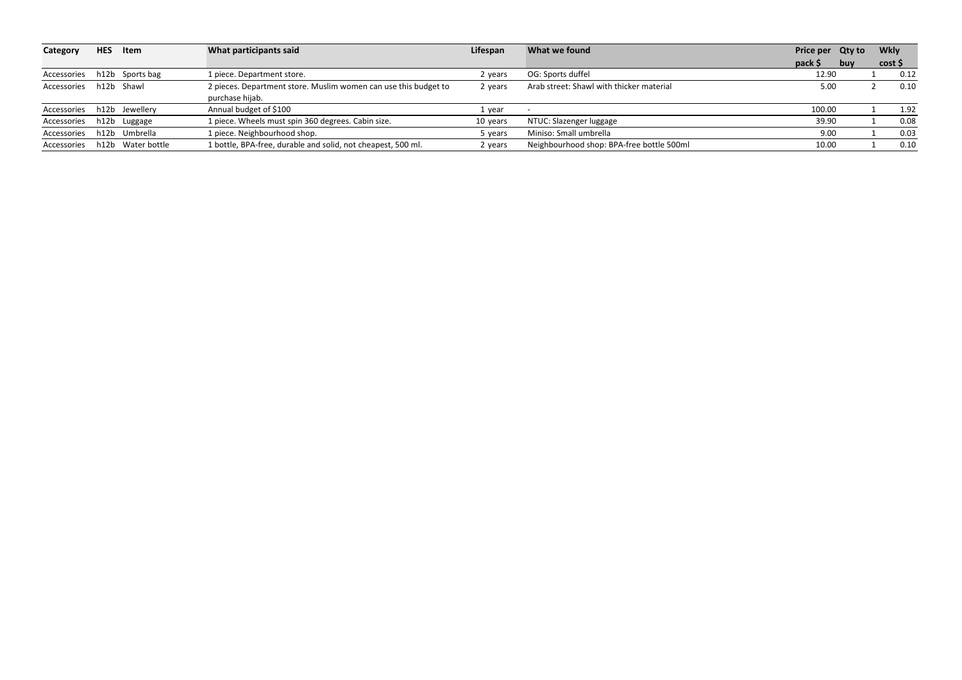| Category    | <b>HES</b> | Item              | What participants said                                          | Lifespan | What we found                             | Price per Qty to |            | <b>Wkly</b> |      |
|-------------|------------|-------------------|-----------------------------------------------------------------|----------|-------------------------------------------|------------------|------------|-------------|------|
|             |            |                   |                                                                 |          |                                           | $pack$ \$        | <b>buv</b> | cost \$     |      |
| Accessories |            | h12b Sports bag   | 1 piece. Department store.                                      | 2 years  | OG: Sports duffel                         | 12.90            |            |             | 0.12 |
| Accessories |            | h12b Shawl        | 2 pieces. Department store. Muslim women can use this budget to | 2 years  | Arab street: Shawl with thicker material  | 5.00             |            |             | 0.10 |
|             |            |                   | purchase hijab.                                                 |          |                                           |                  |            |             |      |
| Accessories |            | h12b Jewellery    | Annual budget of \$100                                          | 1 vear   |                                           | 100.00           |            |             | 1.92 |
| Accessories |            | h12b Luggage      | 1 piece. Wheels must spin 360 degrees. Cabin size.              | 10 years | NTUC: Slazenger luggage                   | 39.90            |            |             | 0.08 |
| Accessories |            | h12b Umbrella     | 1 piece. Neighbourhood shop.                                    | 5 vears  | Miniso: Small umbrella                    | 9.00             |            |             | 0.03 |
| Accessories |            | h12b Water bottle | 1 bottle, BPA-free, durable and solid, not cheapest, 500 ml.    | 2 vears  | Neighbourhood shop: BPA-free bottle 500ml | 10.00            |            |             | 0.10 |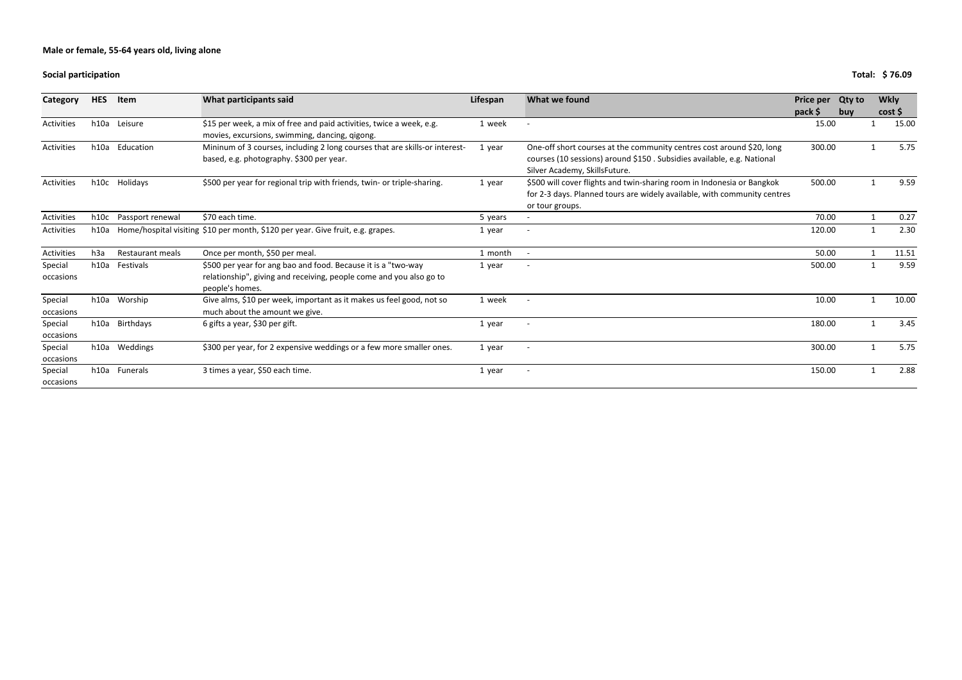### **Social participation**

# **Total: \$ 76.09**

| Category             | <b>HES</b>       | <b>Item</b>             | What participants said                                                                                                                                  | Lifespan | What we found                                                                                                                                                                    | <b>Price per</b><br>pack \$ | <b>Qty to</b><br>buy | <b>Wkly</b><br>cost |
|----------------------|------------------|-------------------------|---------------------------------------------------------------------------------------------------------------------------------------------------------|----------|----------------------------------------------------------------------------------------------------------------------------------------------------------------------------------|-----------------------------|----------------------|---------------------|
| Activities           | h10a             | Leisure                 | \$15 per week, a mix of free and paid activities, twice a week, e.g.<br>movies, excursions, swimming, dancing, qigong.                                  | 1 week   | $\overline{\phantom{0}}$                                                                                                                                                         | 15.00                       |                      | 15.00               |
| Activities           | h10a             | Education               | Mininum of 3 courses, including 2 long courses that are skills-or interest-<br>based, e.g. photography. \$300 per year.                                 | 1 year   | One-off short courses at the community centres cost around \$20, long<br>courses (10 sessions) around \$150. Subsidies available, e.g. National<br>Silver Academy, SkillsFuture. | 300.00                      |                      | 5.75                |
| Activities           |                  | h10c Holidays           | \$500 per year for regional trip with friends, twin- or triple-sharing.                                                                                 | 1 year   | \$500 will cover flights and twin-sharing room in Indonesia or Bangkok<br>for 2-3 days. Planned tours are widely available, with community centres<br>or tour groups.            | 500.00                      |                      | 9.59                |
| Activities           | h10c             | Passport renewal        | \$70 each time.                                                                                                                                         | 5 years  | $\overline{\phantom{a}}$                                                                                                                                                         | 70.00                       |                      | 0.27                |
| Activities           | h10a             |                         | Home/hospital visiting \$10 per month, \$120 per year. Give fruit, e.g. grapes.                                                                         | 1 year   |                                                                                                                                                                                  | 120.00                      |                      | 2.30                |
| Activities           | h <sub>3</sub> a | <b>Restaurant meals</b> | Once per month, \$50 per meal.                                                                                                                          | 1 month  | $\overline{\phantom{a}}$                                                                                                                                                         | 50.00                       |                      | 11.51               |
| Special<br>occasions | h10a             | Festivals               | \$500 per year for ang bao and food. Because it is a "two-way<br>relationship", giving and receiving, people come and you also go to<br>people's homes. | 1 year   |                                                                                                                                                                                  | 500.00                      |                      | 9.59                |
| Special<br>occasions |                  | h10a Worship            | Give alms, \$10 per week, important as it makes us feel good, not so<br>much about the amount we give.                                                  | 1 week   | $\overline{\phantom{a}}$                                                                                                                                                         | 10.00                       |                      | 10.00               |
| Special<br>occasions |                  | h10a Birthdays          | 6 gifts a year, \$30 per gift.                                                                                                                          | 1 year   | $\overline{\phantom{a}}$                                                                                                                                                         | 180.00                      |                      | 3.45                |
| Special<br>occasions |                  | h10a Weddings           | \$300 per year, for 2 expensive weddings or a few more smaller ones.                                                                                    | 1 year   | $\overline{\phantom{a}}$                                                                                                                                                         | 300.00                      |                      | 5.75                |
| Special<br>occasions |                  | h10a Funerals           | 3 times a year, \$50 each time.                                                                                                                         | 1 year   |                                                                                                                                                                                  | 150.00                      |                      | 2.88                |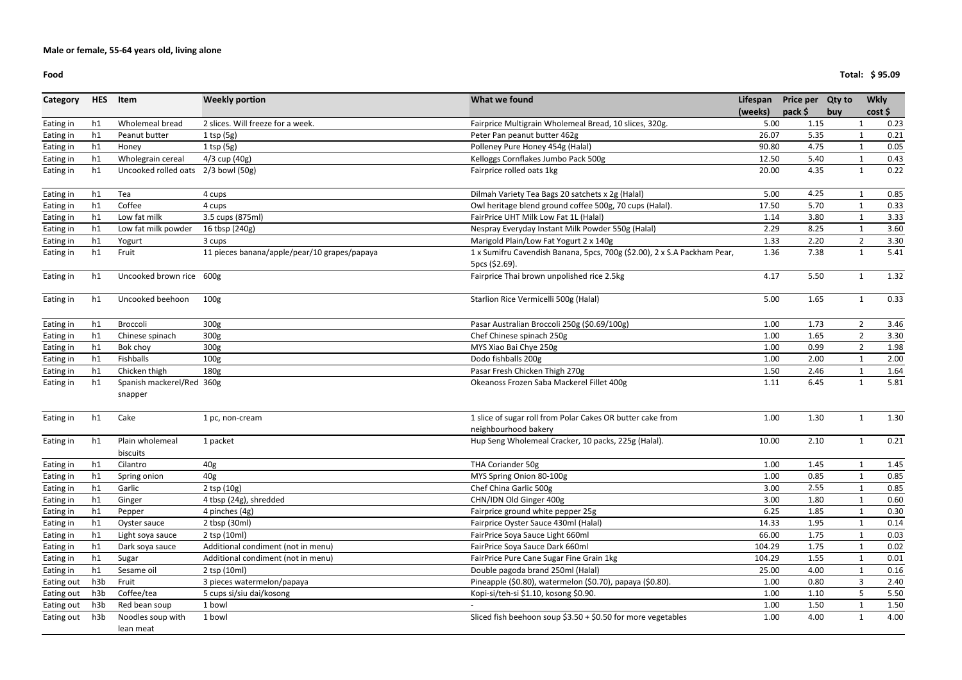#### **Food**

| Category   | <b>HES</b> | Item                                 | <b>Weekly portion</b>                        | What we found                                                                              | Lifespan | Price per Qty to |     | <b>Wkly</b>    |      |
|------------|------------|--------------------------------------|----------------------------------------------|--------------------------------------------------------------------------------------------|----------|------------------|-----|----------------|------|
|            |            |                                      |                                              |                                                                                            | (weeks)  | pack \$          | buy | cost           |      |
| Eating in  | h1         | Wholemeal bread                      | 2 slices. Will freeze for a week.            | Fairprice Multigrain Wholemeal Bread, 10 slices, 320g.                                     | 5.00     | 1.15             |     |                | 0.23 |
| Eating in  | h1         | Peanut butter                        | $1$ tsp (5g)                                 | Peter Pan peanut butter 462g                                                               | 26.07    | 5.35             |     |                | 0.21 |
| Eating in  | h1         | Honey                                | $1$ tsp (5g)                                 | Polleney Pure Honey 454g (Halal)                                                           | 90.80    | 4.75             |     |                | 0.05 |
| Eating in  | h1         | Wholegrain cereal                    | 4/3 cup (40g)                                | Kelloggs Cornflakes Jumbo Pack 500g                                                        | 12.50    | 5.40             |     | $\mathbf 1$    | 0.43 |
| Eating in  | h1         | Uncooked rolled oats 2/3 bowl (50g)  |                                              | Fairprice rolled oats 1kg                                                                  | 20.00    | 4.35             |     | -1             | 0.22 |
| Eating in  | h1         | Tea                                  | 4 cups                                       | Dilmah Variety Tea Bags 20 satchets x 2g (Halal)                                           | 5.00     | 4.25             |     |                | 0.85 |
| Eating in  | h1         | Coffee                               | 4 cups                                       | Owl heritage blend ground coffee 500g, 70 cups (Halal).                                    | 17.50    | 5.70             |     |                | 0.33 |
| Eating in  | h1         | Low fat milk                         | 3.5 cups (875ml)                             | FairPrice UHT Milk Low Fat 1L (Halal)                                                      | 1.14     | 3.80             |     |                | 3.33 |
| Eating in  | h1         | Low fat milk powder                  | 16 tbsp (240g)                               | Nespray Everyday Instant Milk Powder 550g (Halal)                                          | 2.29     | 8.25             |     |                | 3.60 |
| Eating in  | h1         | Yogurt                               | 3 cups                                       | Marigold Plain/Low Fat Yogurt 2 x 140g                                                     | 1.33     | 2.20             |     | $\overline{2}$ | 3.30 |
| Eating in  | h1         | Fruit                                | 11 pieces banana/apple/pear/10 grapes/papaya | 1 x Sumifru Cavendish Banana, 5pcs, 700g (\$2.00), 2 x S.A Packham Pear,<br>5pcs (\$2.69). | 1.36     | 7.38             |     | $\mathbf{1}$   | 5.41 |
| Eating in  | h1         | Uncooked brown rice 600g             |                                              | Fairprice Thai brown unpolished rice 2.5kg                                                 | 4.17     | 5.50             |     | 1              | 1.32 |
| Eating in  | h1         | Uncooked beehoon                     | 100 <sub>g</sub>                             | Starlion Rice Vermicelli 500g (Halal)                                                      | 5.00     | 1.65             |     | 1              | 0.33 |
| Eating in  | h1         | Broccoli                             | 300g                                         | Pasar Australian Broccoli 250g (\$0.69/100g)                                               | 1.00     | 1.73             |     | $\overline{2}$ | 3.46 |
| Eating in  | h1         | Chinese spinach                      | 300 <sub>g</sub>                             | Chef Chinese spinach 250g                                                                  | 1.00     | 1.65             |     | $\overline{2}$ | 3.30 |
| Eating in  | h1         | Bok choy                             | 300g                                         | MYS Xiao Bai Chye 250g                                                                     | 1.00     | 0.99             |     | $\overline{2}$ | 1.98 |
| Eating in  | h1         | Fishballs                            | 100 <sub>g</sub>                             | Dodo fishballs 200g                                                                        | 1.00     | 2.00             |     |                | 2.00 |
| Eating in  | h1         | Chicken thigh                        | 180 <sub>g</sub>                             | Pasar Fresh Chicken Thigh 270g                                                             | 1.50     | 2.46             |     |                | 1.64 |
| Eating in  | h1         | Spanish mackerel/Red 360g<br>snapper |                                              | Okeanoss Frozen Saba Mackerel Fillet 400g                                                  | 1.11     | 6.45             |     | $\mathbf{1}$   | 5.81 |
|            |            |                                      |                                              |                                                                                            |          |                  |     |                |      |
| Eating in  | h1         | Cake                                 | 1 pc, non-cream                              | 1 slice of sugar roll from Polar Cakes OR butter cake from<br>neighbourhood bakery         | 1.00     | 1.30             |     | $\mathbf{1}$   | 1.30 |
| Eating in  | h1         | Plain wholemeal                      | 1 packet                                     | Hup Seng Wholemeal Cracker, 10 packs, 225g (Halal).                                        | 10.00    | 2.10             |     | -1             | 0.21 |
|            |            | biscuits                             |                                              |                                                                                            |          |                  |     |                |      |
| Eating in  | h1         | Cilantro                             | 40g                                          | THA Coriander 50g                                                                          | 1.00     | 1.45             |     |                | 1.45 |
| Eating in  | h1         | Spring onion                         | 40g                                          | MYS Spring Onion 80-100g                                                                   | 1.00     | 0.85             |     |                | 0.85 |
| Eating in  | h1         | Garlic                               | 2 tsp (10g)                                  | Chef China Garlic 500g                                                                     | 3.00     | 2.55             |     |                | 0.85 |
| Eating in  | h1         | Ginger                               | 4 tbsp (24g), shredded                       | CHN/IDN Old Ginger 400g                                                                    | 3.00     | 1.80             |     |                | 0.60 |
| Eating in  | h1         | Pepper                               | 4 pinches (4g)                               | Fairprice ground white pepper 25g                                                          | 6.25     | 1.85             |     |                | 0.30 |
| Eating in  | h1         | Oyster sauce                         | 2 tbsp (30ml)                                | Fairprice Oyster Sauce 430ml (Halal)                                                       | 14.33    | 1.95             |     |                | 0.14 |
| Eating in  | h1         | Light soya sauce                     | 2 tsp (10ml)                                 | FairPrice Soya Sauce Light 660ml                                                           | 66.00    | 1.75             |     |                | 0.03 |
| Eating in  | h1         | Dark soya sauce                      | Additional condiment (not in menu)           | FairPrice Soya Sauce Dark 660ml                                                            | 104.29   | 1.75             |     |                | 0.02 |
| Eating in  | h1         | Sugar                                | Additional condiment (not in menu)           | FairPrice Pure Cane Sugar Fine Grain 1kg                                                   | 104.29   | 1.55             |     |                | 0.01 |
| Eating in  | h1         | Sesame oil                           | 2 tsp (10ml)                                 | Double pagoda brand 250ml (Halal)                                                          | 25.00    | 4.00             |     |                | 0.16 |
| Eating out | h3b        | Fruit                                | 3 pieces watermelon/papaya                   | Pineapple (\$0.80), watermelon (\$0.70), papaya (\$0.80).                                  | 1.00     | 0.80             |     | 3              | 2.40 |
| Eating out | h3b        | Coffee/tea                           | 5 cups si/siu dai/kosong                     | Kopi-si/teh-si \$1.10, kosong \$0.90.                                                      | 1.00     | 1.10             |     | 5.             | 5.50 |
| Eating out | h3b        | Red bean soup                        | 1 bowl                                       |                                                                                            | 1.00     | 1.50             |     |                | 1.50 |
| Eating out | h3b        | Noodles soup with                    | 1 bowl                                       | Sliced fish beehoon soup $$3.50 + $0.50$ for more vegetables                               | 1.00     | 4.00             |     | 1              | 4.00 |
|            |            | lean meat                            |                                              |                                                                                            |          |                  |     |                |      |

**Total: \$ 95.09**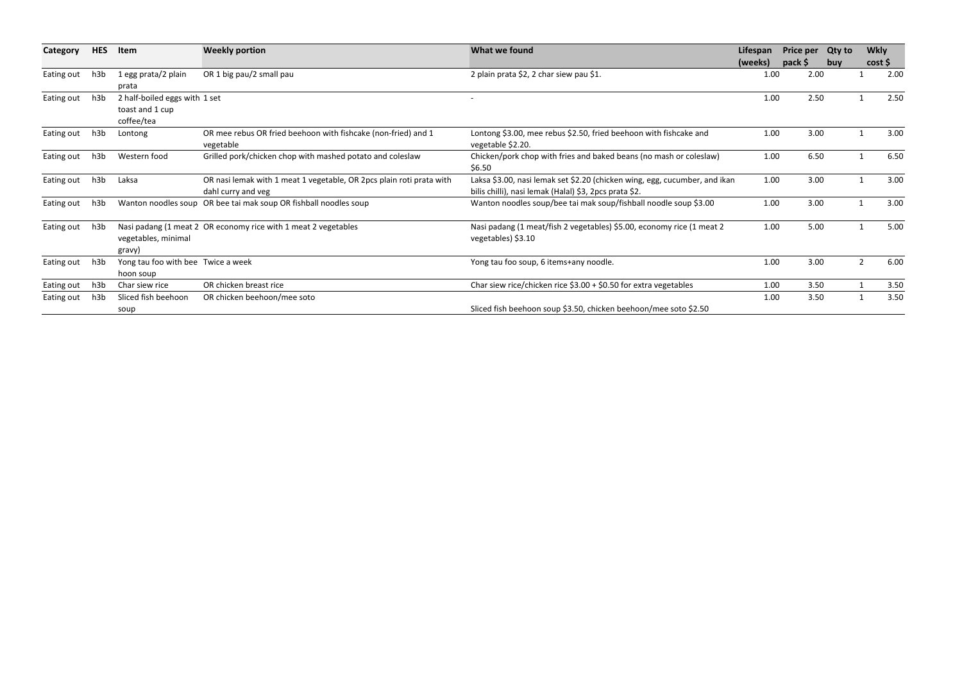| Category   | <b>HES</b> | Item                                                           | <b>Weekly portion</b>                                                                      | What we found                                                                                                                        | Lifespan | Price per Qty to |            | <b>Wkly</b> |      |
|------------|------------|----------------------------------------------------------------|--------------------------------------------------------------------------------------------|--------------------------------------------------------------------------------------------------------------------------------------|----------|------------------|------------|-------------|------|
|            |            |                                                                |                                                                                            |                                                                                                                                      | (weeks)  | pack \$          | <b>buv</b> | cost        |      |
| Eating out | h3b        | 1 egg prata/2 plain<br>prata                                   | OR 1 big pau/2 small pau                                                                   | 2 plain prata \$2, 2 char siew pau \$1.                                                                                              | 1.00     | 2.00             |            |             | 2.00 |
| Eating out | h3b        | 2 half-boiled eggs with 1 set<br>toast and 1 cup<br>coffee/tea |                                                                                            |                                                                                                                                      | 1.00     | 2.50             |            |             | 2.50 |
| Eating out | h3b        | Lontong                                                        | OR mee rebus OR fried beehoon with fishcake (non-fried) and 1<br>vegetable                 | Lontong \$3.00, mee rebus \$2.50, fried beehoon with fishcake and<br>vegetable \$2.20.                                               | 1.00     | 3.00             |            |             | 3.00 |
| Eating out | h3b        | Western food                                                   | Grilled pork/chicken chop with mashed potato and coleslaw                                  | Chicken/pork chop with fries and baked beans (no mash or coleslaw)<br>\$6.50                                                         | 1.00     | 6.50             |            |             | 6.50 |
| Eating out | h3b        | Laksa                                                          | OR nasi lemak with 1 meat 1 vegetable, OR 2pcs plain roti prata with<br>dahl curry and veg | Laksa \$3.00, nasi lemak set \$2.20 (chicken wing, egg, cucumber, and ikan<br>bilis chilli), nasi lemak (Halal) \$3, 2pcs prata \$2. | 1.00     | 3.00             |            |             | 3.00 |
| Eating out | h3b        |                                                                | Wanton noodles soup OR bee tai mak soup OR fishball noodles soup                           | Wanton noodles soup/bee tai mak soup/fishball noodle soup \$3.00                                                                     | 1.00     | 3.00             |            |             | 3.00 |
| Eating out | h3b        | vegetables, minimal<br>gravy)                                  | Nasi padang (1 meat 2 OR economy rice with 1 meat 2 vegetables                             | Nasi padang (1 meat/fish 2 vegetables) \$5.00, economy rice (1 meat 2<br>vegetables) \$3.10                                          | 1.00     | 5.00             |            |             | 5.00 |
| Eating out | h3b        | Yong tau foo with bee Twice a week<br>hoon soup                |                                                                                            | Yong tau foo soup, 6 items+any noodle.                                                                                               | 1.00     | 3.00             |            |             | 6.00 |
| Eating out | h3b        | Char siew rice                                                 | OR chicken breast rice                                                                     | Char siew rice/chicken rice $$3.00 + $0.50$ for extra vegetables                                                                     | 1.00     | 3.50             |            |             | 3.50 |
| Eating out | h3b        | Sliced fish beehoon<br>soup                                    | OR chicken beehoon/mee soto                                                                | Sliced fish beehoon soup \$3.50, chicken beehoon/mee soto \$2.50                                                                     | 1.00     | 3.50             |            |             | 3.50 |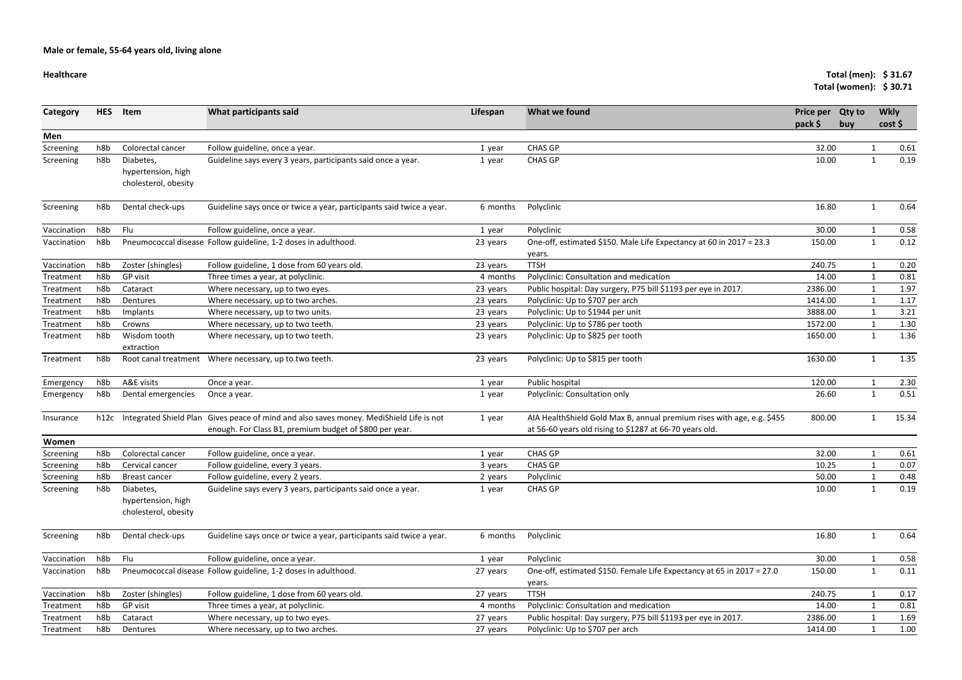# **Healthcare**

| <b>Healthcare</b> |            |                                                         |                                                                                                                                                    |          |                                                                                                                                    |                             | Total (men): $$31.67$<br>Total (women): \$30.71 |              |                     |
|-------------------|------------|---------------------------------------------------------|----------------------------------------------------------------------------------------------------------------------------------------------------|----------|------------------------------------------------------------------------------------------------------------------------------------|-----------------------------|-------------------------------------------------|--------------|---------------------|
| Category          | <b>HES</b> | Item                                                    | What participants said                                                                                                                             | Lifespan | What we found                                                                                                                      | <b>Price per</b><br>pack \$ | <b>Qty to</b><br>buy                            |              | <b>Wkly</b><br>cost |
| Men               |            |                                                         |                                                                                                                                                    |          |                                                                                                                                    |                             |                                                 |              |                     |
| Screening         | h8b        | Colorectal cancer                                       | Follow guideline, once a year.                                                                                                                     | 1 year   | <b>CHAS GP</b>                                                                                                                     | 32.00                       |                                                 |              | 0.61                |
| Screening         | h8b        | Diabetes,<br>hypertension, high<br>cholesterol, obesity | Guideline says every 3 years, participants said once a year.                                                                                       | 1 year   | <b>CHAS GP</b>                                                                                                                     | 10.00                       |                                                 |              | 0.19                |
| Screening         | h8b        | Dental check-ups                                        | Guideline says once or twice a year, participants said twice a year.                                                                               | 6 months | Polyclinic                                                                                                                         | 16.80                       |                                                 |              | 0.64                |
| Vaccination       | h8b        | Flu                                                     | Follow guideline, once a year.                                                                                                                     | 1 year   | Polyclinic                                                                                                                         | 30.00                       |                                                 |              | 0.58                |
| Vaccination       | h8b        |                                                         | Pneumococcal disease Follow guideline, 1-2 doses in adulthood.                                                                                     | 23 years | One-off, estimated \$150. Male Life Expectancy at 60 in 2017 = 23.3<br>years.                                                      | 150.00                      |                                                 | $\mathbf{1}$ | 0.12                |
| Vaccination       | h8b        | Zoster (shingles)                                       | Follow guideline, 1 dose from 60 years old.                                                                                                        | 23 years | <b>TTSH</b>                                                                                                                        | 240.75                      |                                                 |              | 0.20                |
| Treatment         | h8b        | GP visit                                                | Three times a year, at polyclinic.                                                                                                                 | 4 months | Polyclinic: Consultation and medication                                                                                            | 14.00                       |                                                 |              | 0.81                |
| Treatment         | h8b        | Cataract                                                | Where necessary, up to two eyes.                                                                                                                   | 23 years | Public hospital: Day surgery, P75 bill \$1193 per eye in 2017.                                                                     | 2386.00                     |                                                 |              | 1.97                |
| Treatment         | h8b        | Dentures                                                | Where necessary, up to two arches.                                                                                                                 | 23 years | Polyclinic: Up to \$707 per arch                                                                                                   | 1414.00                     |                                                 |              | 1.17                |
| Treatment         | h8b        | Implants                                                | Where necessary, up to two units.                                                                                                                  | 23 years | Polyclinic: Up to \$1944 per unit                                                                                                  | 3888.00                     |                                                 |              | 3.21                |
| Treatment         | h8b        | Crowns                                                  | Where necessary, up to two teeth.                                                                                                                  | 23 years | Polyclinic: Up to \$786 per tooth                                                                                                  | 1572.00                     |                                                 |              | 1.30                |
| Treatment         | h8b        | Wisdom tooth<br>extraction                              | Where necessary, up to two teeth.                                                                                                                  | 23 years | Polyclinic: Up to \$825 per tooth                                                                                                  | 1650.00                     |                                                 | $\mathbf{1}$ | 1.36                |
| Treatment         | h8b        |                                                         | Root canal treatment Where necessary, up to two teeth.                                                                                             | 23 years | Polyclinic: Up to \$815 per tooth                                                                                                  | 1630.00                     |                                                 |              | 1.35                |
| Emergency         | h8b        | A&E visits                                              | Once a year.                                                                                                                                       | 1 year   | Public hospital                                                                                                                    | 120.00                      |                                                 |              | 2.30                |
| Emergency         | h8b        | Dental emergencies                                      | Once a year.                                                                                                                                       | 1 year   | Polyclinic: Consultation only                                                                                                      | 26.60                       |                                                 | $\mathbf{1}$ | 0.51                |
| Insurance         | h12c       |                                                         | Integrated Shield Plan Gives peace of mind and also saves money. MediShield Life is not<br>enough. For Class B1, premium budget of \$800 per year. | 1 year   | AIA Health Shield Gold Max B, annual premium rises with age, e.g. \$455<br>at 56-60 years old rising to \$1287 at 66-70 years old. | 800.00                      |                                                 |              | 15.34               |
| Women             |            |                                                         |                                                                                                                                                    |          |                                                                                                                                    |                             |                                                 |              |                     |
| Screening         | h8b        | Colorectal cancer                                       | Follow guideline, once a year.                                                                                                                     | 1 year   | <b>CHAS GP</b>                                                                                                                     | 32.00                       |                                                 |              | 0.61                |
| Screening         | h8b        | Cervical cancer                                         | Follow guideline, every 3 years.                                                                                                                   | 3 years  | <b>CHAS GP</b>                                                                                                                     | 10.25                       |                                                 |              | 0.07                |
| Screening         | h8b        | Breast cancer                                           | Follow guideline, every 2 years.                                                                                                                   | 2 years  | Polyclinic                                                                                                                         | 50.00                       |                                                 |              | 0.48                |
| Screening         | h8b        | Diabetes,<br>hypertension, high<br>cholesterol, obesity | Guideline says every 3 years, participants said once a year.                                                                                       | 1 year   | <b>CHAS GP</b>                                                                                                                     | 10.00                       |                                                 |              | 0.19                |
| Screening         | h8b        | Dental check-ups                                        | Guideline says once or twice a year, participants said twice a year.                                                                               | 6 months | Polyclinic                                                                                                                         | 16.80                       |                                                 | $\mathbf 1$  | 0.64                |
| Vaccination       | h8b        | Flu                                                     | Follow guideline, once a year.                                                                                                                     | 1 year   | Polyclinic                                                                                                                         | 30.00                       |                                                 | $\mathbf{1}$ | 0.58                |
| Vaccination       | h8b        |                                                         | Pneumococcal disease Follow guideline, 1-2 doses in adulthood.                                                                                     | 27 years | One-off, estimated \$150. Female Life Expectancy at 65 in 2017 = 27.0<br>years.                                                    | 150.00                      |                                                 | $\mathbf{1}$ | 0.11                |
| Vaccination       | h8b        | Zoster (shingles)                                       | Follow guideline, 1 dose from 60 years old.                                                                                                        | 27 years | <b>TTSH</b>                                                                                                                        | 240.75                      |                                                 |              | 0.17                |
| Treatment         | h8b        | GP visit                                                | Three times a year, at polyclinic.                                                                                                                 | 4 months | Polyclinic: Consultation and medication                                                                                            | 14.00                       |                                                 |              | 0.81                |
| Treatment         | h8b        | Cataract                                                | Where necessary, up to two eyes.                                                                                                                   | 27 years | Public hospital: Day surgery, P75 bill \$1193 per eye in 2017.                                                                     | 2386.00                     |                                                 |              | 1.69                |
| Treatment         | h8b        | Dentures                                                | Where necessary, up to two arches.                                                                                                                 | 27 years | Polyclinic: Up to \$707 per arch                                                                                                   | 1414.00                     |                                                 |              | 1.00                |
|                   |            |                                                         |                                                                                                                                                    |          |                                                                                                                                    |                             |                                                 |              |                     |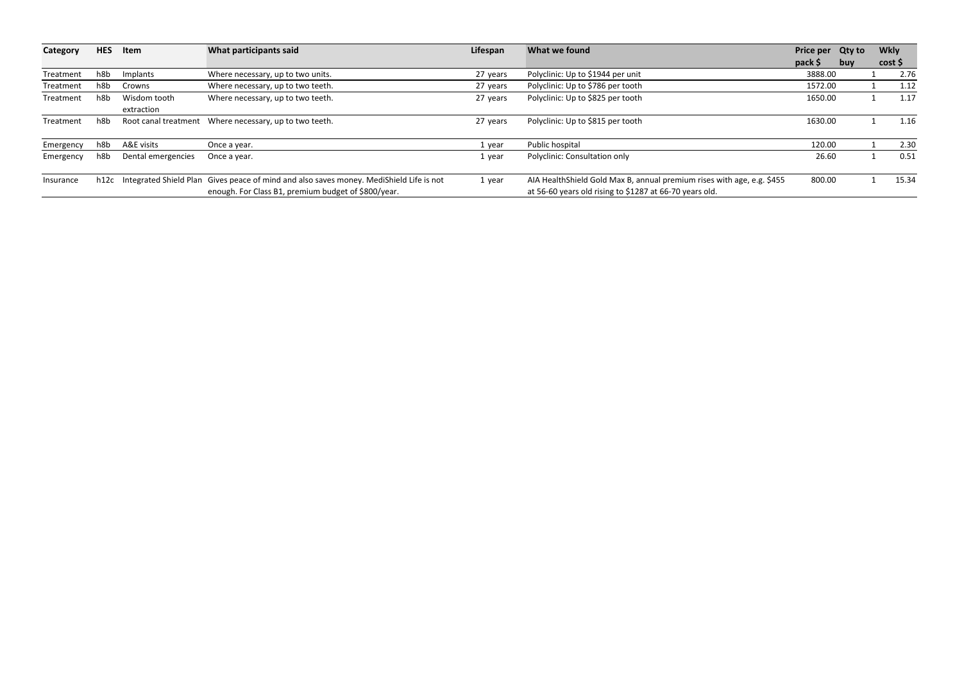| Category  | <b>HES</b> | Item               | What participants said                                                                                                                              | Lifespan | What we found                                                                                                                      | Price per Qty to |     | <b>Wkly</b> |         |
|-----------|------------|--------------------|-----------------------------------------------------------------------------------------------------------------------------------------------------|----------|------------------------------------------------------------------------------------------------------------------------------------|------------------|-----|-------------|---------|
|           |            |                    |                                                                                                                                                     |          |                                                                                                                                    | pack \$          | buv |             | cost \$ |
| Treatment | h8b        | Implants           | Where necessary, up to two units.                                                                                                                   | 27 years | Polyclinic: Up to \$1944 per unit                                                                                                  | 3888.00          |     |             | 2.76    |
| Treatment | h8b        | Crowns             | Where necessary, up to two teeth.                                                                                                                   | 27 years | Polyclinic: Up to \$786 per tooth                                                                                                  | 1572.00          |     |             | 1.12    |
| Treatment | h8b        | Wisdom tooth       | Where necessary, up to two teeth.                                                                                                                   | 27 years | Polyclinic: Up to \$825 per tooth                                                                                                  | 1650.00          |     |             | 1.17    |
|           |            | extraction         |                                                                                                                                                     |          |                                                                                                                                    |                  |     |             |         |
| Treatment | h8b        |                    | Root canal treatment Where necessary, up to two teeth.                                                                                              | 27 years | Polyclinic: Up to \$815 per tooth                                                                                                  | 1630.00          |     |             | 1.16    |
| Emergency | h8b        | A&E visits         | Once a year.                                                                                                                                        | 1 year   | Public hospital                                                                                                                    | 120.00           |     |             | 2.30    |
| Emergency | h8b        | Dental emergencies | Once a year.                                                                                                                                        | 1 year   | Polyclinic: Consultation only                                                                                                      | 26.60            |     |             | 0.51    |
| Insurance |            |                    | h12c Integrated Shield Plan Gives peace of mind and also saves money. MediShield Life is not<br>enough. For Class B1, premium budget of \$800/year. | 1 year   | AIA Health Shield Gold Max B, annual premium rises with age, e.g. \$455<br>at 56-60 years old rising to \$1287 at 66-70 years old. | 800.00           |     |             | 15.34   |